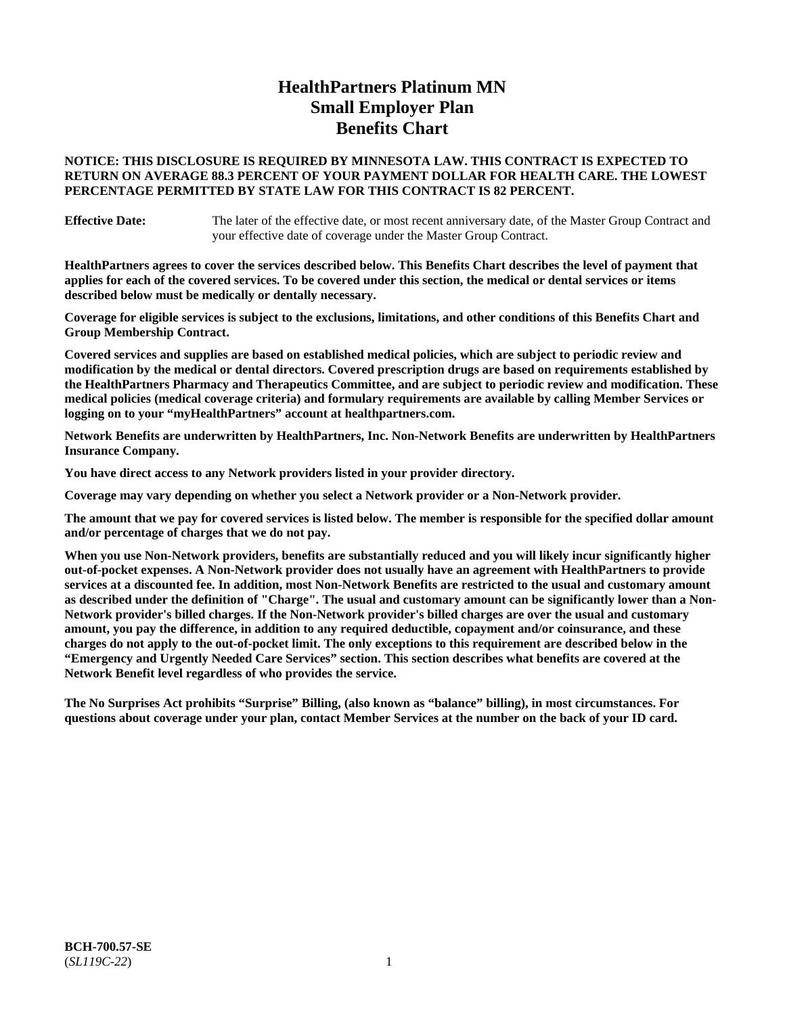# **HealthPartners Platinum MN Small Employer Plan Benefits Chart**

# **NOTICE: THIS DISCLOSURE IS REQUIRED BY MINNESOTA LAW. THIS CONTRACT IS EXPECTED TO RETURN ON AVERAGE 88.3 PERCENT OF YOUR PAYMENT DOLLAR FOR HEALTH CARE. THE LOWEST PERCENTAGE PERMITTED BY STATE LAW FOR THIS CONTRACT IS 82 PERCENT.**

**Effective Date:** The later of the effective date, or most recent anniversary date, of the Master Group Contract and your effective date of coverage under the Master Group Contract.

**HealthPartners agrees to cover the services described below. This Benefits Chart describes the level of payment that applies for each of the covered services. To be covered under this section, the medical or dental services or items described below must be medically or dentally necessary.**

**Coverage for eligible services is subject to the exclusions, limitations, and other conditions of this Benefits Chart and Group Membership Contract.**

**Covered services and supplies are based on established medical policies, which are subject to periodic review and modification by the medical or dental directors. Covered prescription drugs are based on requirements established by the HealthPartners Pharmacy and Therapeutics Committee, and are subject to periodic review and modification. These medical policies (medical coverage criteria) and formulary requirements are available by calling Member Services or logging on to your "myHealthPartners" account at [healthpartners.com.](https://www.healthpartners.com/hp/index.html)**

**Network Benefits are underwritten by HealthPartners, Inc. Non-Network Benefits are underwritten by HealthPartners Insurance Company.** 

**You have direct access to any Network providers listed in your provider directory.**

**Coverage may vary depending on whether you select a Network provider or a Non-Network provider.**

**The amount that we pay for covered services is listed below. The member is responsible for the specified dollar amount and/or percentage of charges that we do not pay.**

**When you use Non-Network providers, benefits are substantially reduced and you will likely incur significantly higher out-of-pocket expenses. A Non-Network provider does not usually have an agreement with HealthPartners to provide services at a discounted fee. In addition, most Non-Network Benefits are restricted to the usual and customary amount as described under the definition of "Charge". The usual and customary amount can be significantly lower than a Non-Network provider's billed charges. If the Non-Network provider's billed charges are over the usual and customary amount, you pay the difference, in addition to any required deductible, copayment and/or coinsurance, and these charges do not apply to the out-of-pocket limit. The only exceptions to this requirement are described below in the "Emergency and Urgently Needed Care Services" section. This section describes what benefits are covered at the Network Benefit level regardless of who provides the service.**

**The No Surprises Act prohibits "Surprise" Billing, (also known as "balance" billing), in most circumstances. For questions about coverage under your plan, contact Member Services at the number on the back of your ID card.**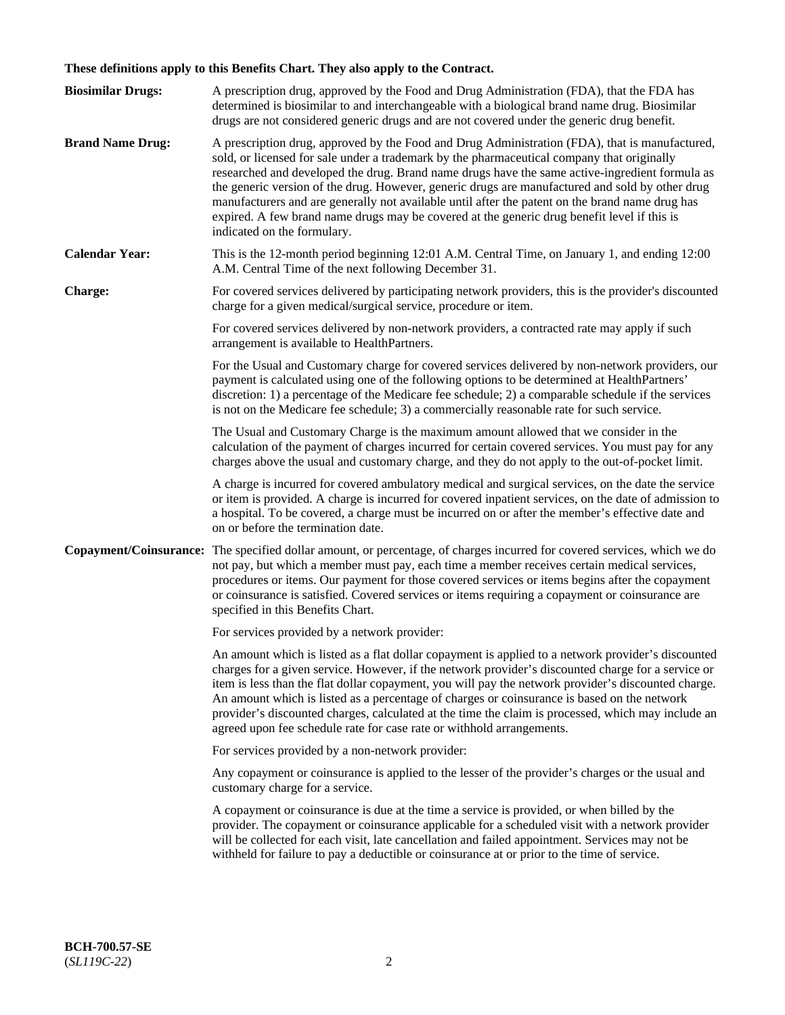# **These definitions apply to this Benefits Chart. They also apply to the Contract.**

| <b>Biosimilar Drugs:</b> | A prescription drug, approved by the Food and Drug Administration (FDA), that the FDA has<br>determined is biosimilar to and interchangeable with a biological brand name drug. Biosimilar<br>drugs are not considered generic drugs and are not covered under the generic drug benefit.                                                                                                                                                                                                                                                                                                                                           |
|--------------------------|------------------------------------------------------------------------------------------------------------------------------------------------------------------------------------------------------------------------------------------------------------------------------------------------------------------------------------------------------------------------------------------------------------------------------------------------------------------------------------------------------------------------------------------------------------------------------------------------------------------------------------|
| <b>Brand Name Drug:</b>  | A prescription drug, approved by the Food and Drug Administration (FDA), that is manufactured,<br>sold, or licensed for sale under a trademark by the pharmaceutical company that originally<br>researched and developed the drug. Brand name drugs have the same active-ingredient formula as<br>the generic version of the drug. However, generic drugs are manufactured and sold by other drug<br>manufacturers and are generally not available until after the patent on the brand name drug has<br>expired. A few brand name drugs may be covered at the generic drug benefit level if this is<br>indicated on the formulary. |
| <b>Calendar Year:</b>    | This is the 12-month period beginning 12:01 A.M. Central Time, on January 1, and ending 12:00<br>A.M. Central Time of the next following December 31.                                                                                                                                                                                                                                                                                                                                                                                                                                                                              |
| <b>Charge:</b>           | For covered services delivered by participating network providers, this is the provider's discounted<br>charge for a given medical/surgical service, procedure or item.                                                                                                                                                                                                                                                                                                                                                                                                                                                            |
|                          | For covered services delivered by non-network providers, a contracted rate may apply if such<br>arrangement is available to HealthPartners.                                                                                                                                                                                                                                                                                                                                                                                                                                                                                        |
|                          | For the Usual and Customary charge for covered services delivered by non-network providers, our<br>payment is calculated using one of the following options to be determined at HealthPartners'<br>discretion: 1) a percentage of the Medicare fee schedule; 2) a comparable schedule if the services<br>is not on the Medicare fee schedule; 3) a commercially reasonable rate for such service.                                                                                                                                                                                                                                  |
|                          | The Usual and Customary Charge is the maximum amount allowed that we consider in the<br>calculation of the payment of charges incurred for certain covered services. You must pay for any<br>charges above the usual and customary charge, and they do not apply to the out-of-pocket limit.                                                                                                                                                                                                                                                                                                                                       |
|                          | A charge is incurred for covered ambulatory medical and surgical services, on the date the service<br>or item is provided. A charge is incurred for covered inpatient services, on the date of admission to<br>a hospital. To be covered, a charge must be incurred on or after the member's effective date and<br>on or before the termination date.                                                                                                                                                                                                                                                                              |
| Copayment/Coinsurance:   | The specified dollar amount, or percentage, of charges incurred for covered services, which we do<br>not pay, but which a member must pay, each time a member receives certain medical services,<br>procedures or items. Our payment for those covered services or items begins after the copayment<br>or coinsurance is satisfied. Covered services or items requiring a copayment or coinsurance are<br>specified in this Benefits Chart.                                                                                                                                                                                        |
|                          | For services provided by a network provider:                                                                                                                                                                                                                                                                                                                                                                                                                                                                                                                                                                                       |
|                          | An amount which is listed as a flat dollar copayment is applied to a network provider's discounted<br>charges for a given service. However, if the network provider's discounted charge for a service or<br>item is less than the flat dollar copayment, you will pay the network provider's discounted charge.<br>An amount which is listed as a percentage of charges or coinsurance is based on the network<br>provider's discounted charges, calculated at the time the claim is processed, which may include an<br>agreed upon fee schedule rate for case rate or withhold arrangements.                                      |
|                          | For services provided by a non-network provider:                                                                                                                                                                                                                                                                                                                                                                                                                                                                                                                                                                                   |
|                          | Any copayment or coinsurance is applied to the lesser of the provider's charges or the usual and<br>customary charge for a service.                                                                                                                                                                                                                                                                                                                                                                                                                                                                                                |
|                          | A copayment or coinsurance is due at the time a service is provided, or when billed by the<br>provider. The copayment or coinsurance applicable for a scheduled visit with a network provider<br>will be collected for each visit, late cancellation and failed appointment. Services may not be<br>withheld for failure to pay a deductible or coinsurance at or prior to the time of service.                                                                                                                                                                                                                                    |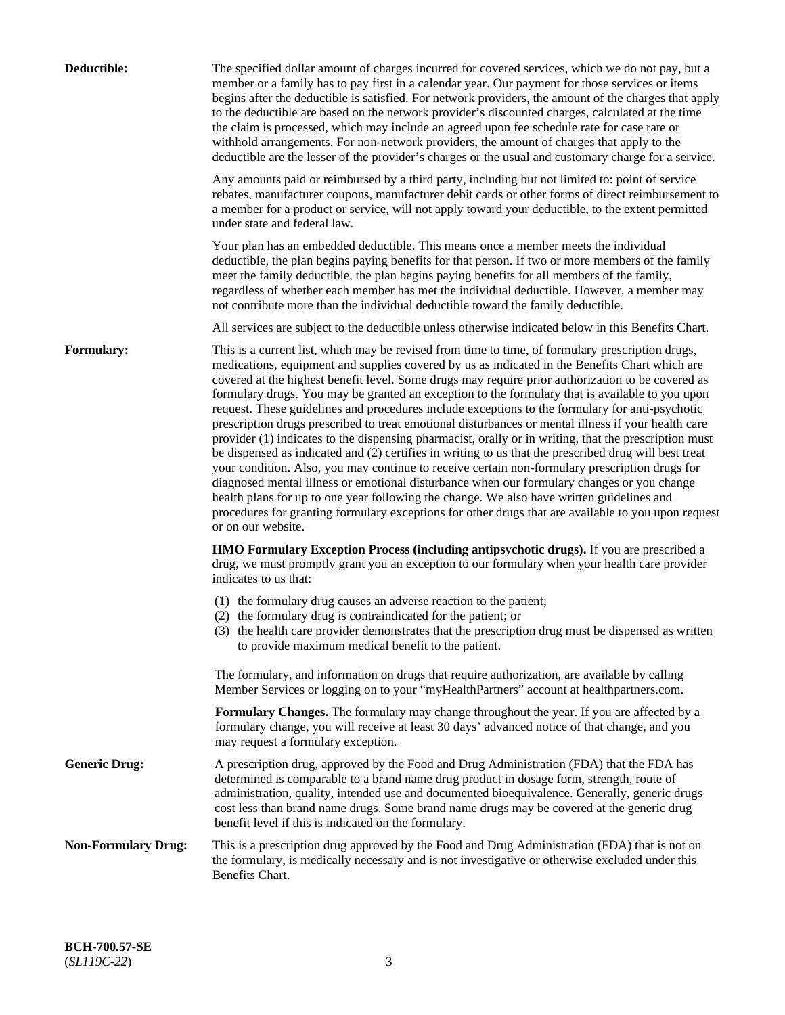| Deductible:                | The specified dollar amount of charges incurred for covered services, which we do not pay, but a<br>member or a family has to pay first in a calendar year. Our payment for those services or items<br>begins after the deductible is satisfied. For network providers, the amount of the charges that apply<br>to the deductible are based on the network provider's discounted charges, calculated at the time<br>the claim is processed, which may include an agreed upon fee schedule rate for case rate or<br>withhold arrangements. For non-network providers, the amount of charges that apply to the<br>deductible are the lesser of the provider's charges or the usual and customary charge for a service.                                                                                                                                                                                                                                                                                                                                                                                                                                                                                                                                             |
|----------------------------|------------------------------------------------------------------------------------------------------------------------------------------------------------------------------------------------------------------------------------------------------------------------------------------------------------------------------------------------------------------------------------------------------------------------------------------------------------------------------------------------------------------------------------------------------------------------------------------------------------------------------------------------------------------------------------------------------------------------------------------------------------------------------------------------------------------------------------------------------------------------------------------------------------------------------------------------------------------------------------------------------------------------------------------------------------------------------------------------------------------------------------------------------------------------------------------------------------------------------------------------------------------|
|                            | Any amounts paid or reimbursed by a third party, including but not limited to: point of service<br>rebates, manufacturer coupons, manufacturer debit cards or other forms of direct reimbursement to<br>a member for a product or service, will not apply toward your deductible, to the extent permitted<br>under state and federal law.                                                                                                                                                                                                                                                                                                                                                                                                                                                                                                                                                                                                                                                                                                                                                                                                                                                                                                                        |
|                            | Your plan has an embedded deductible. This means once a member meets the individual<br>deductible, the plan begins paying benefits for that person. If two or more members of the family<br>meet the family deductible, the plan begins paying benefits for all members of the family,<br>regardless of whether each member has met the individual deductible. However, a member may<br>not contribute more than the individual deductible toward the family deductible.                                                                                                                                                                                                                                                                                                                                                                                                                                                                                                                                                                                                                                                                                                                                                                                         |
|                            | All services are subject to the deductible unless otherwise indicated below in this Benefits Chart.                                                                                                                                                                                                                                                                                                                                                                                                                                                                                                                                                                                                                                                                                                                                                                                                                                                                                                                                                                                                                                                                                                                                                              |
| Formulary:                 | This is a current list, which may be revised from time to time, of formulary prescription drugs,<br>medications, equipment and supplies covered by us as indicated in the Benefits Chart which are<br>covered at the highest benefit level. Some drugs may require prior authorization to be covered as<br>formulary drugs. You may be granted an exception to the formulary that is available to you upon<br>request. These guidelines and procedures include exceptions to the formulary for anti-psychotic<br>prescription drugs prescribed to treat emotional disturbances or mental illness if your health care<br>provider (1) indicates to the dispensing pharmacist, orally or in writing, that the prescription must<br>be dispensed as indicated and (2) certifies in writing to us that the prescribed drug will best treat<br>your condition. Also, you may continue to receive certain non-formulary prescription drugs for<br>diagnosed mental illness or emotional disturbance when our formulary changes or you change<br>health plans for up to one year following the change. We also have written guidelines and<br>procedures for granting formulary exceptions for other drugs that are available to you upon request<br>or on our website. |
|                            | HMO Formulary Exception Process (including antipsychotic drugs). If you are prescribed a<br>drug, we must promptly grant you an exception to our formulary when your health care provider<br>indicates to us that:                                                                                                                                                                                                                                                                                                                                                                                                                                                                                                                                                                                                                                                                                                                                                                                                                                                                                                                                                                                                                                               |
|                            | (1) the formulary drug causes an adverse reaction to the patient;<br>(2) the formulary drug is contraindicated for the patient; or<br>(3) the health care provider demonstrates that the prescription drug must be dispensed as written<br>to provide maximum medical benefit to the patient.                                                                                                                                                                                                                                                                                                                                                                                                                                                                                                                                                                                                                                                                                                                                                                                                                                                                                                                                                                    |
|                            | The formulary, and information on drugs that require authorization, are available by calling<br>Member Services or logging on to your "myHealthPartners" account at healthpartners.com.                                                                                                                                                                                                                                                                                                                                                                                                                                                                                                                                                                                                                                                                                                                                                                                                                                                                                                                                                                                                                                                                          |
|                            | Formulary Changes. The formulary may change throughout the year. If you are affected by a<br>formulary change, you will receive at least 30 days' advanced notice of that change, and you<br>may request a formulary exception.                                                                                                                                                                                                                                                                                                                                                                                                                                                                                                                                                                                                                                                                                                                                                                                                                                                                                                                                                                                                                                  |
| <b>Generic Drug:</b>       | A prescription drug, approved by the Food and Drug Administration (FDA) that the FDA has<br>determined is comparable to a brand name drug product in dosage form, strength, route of<br>administration, quality, intended use and documented bioequivalence. Generally, generic drugs<br>cost less than brand name drugs. Some brand name drugs may be covered at the generic drug<br>benefit level if this is indicated on the formulary.                                                                                                                                                                                                                                                                                                                                                                                                                                                                                                                                                                                                                                                                                                                                                                                                                       |
| <b>Non-Formulary Drug:</b> | This is a prescription drug approved by the Food and Drug Administration (FDA) that is not on<br>the formulary, is medically necessary and is not investigative or otherwise excluded under this<br>Benefits Chart.                                                                                                                                                                                                                                                                                                                                                                                                                                                                                                                                                                                                                                                                                                                                                                                                                                                                                                                                                                                                                                              |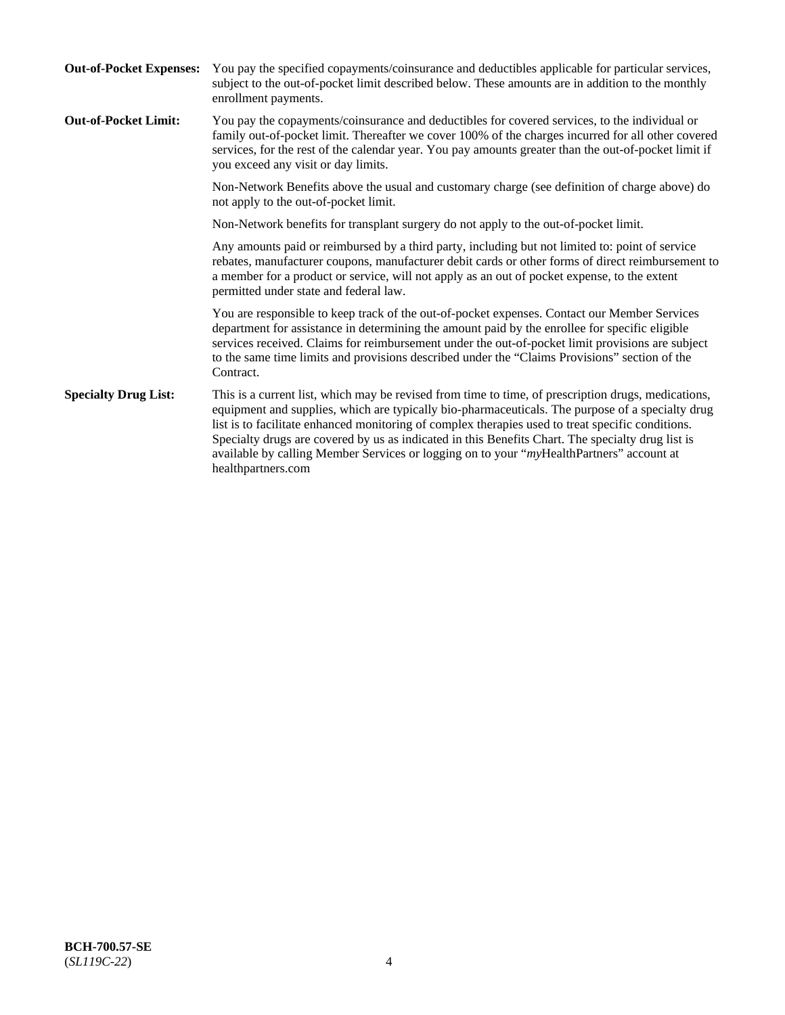| <b>Out-of-Pocket Expenses:</b> | You pay the specified copayments/coinsurance and deductibles applicable for particular services,<br>subject to the out-of-pocket limit described below. These amounts are in addition to the monthly<br>enrollment payments.                                                                                                                                                                                                                                                                                                        |
|--------------------------------|-------------------------------------------------------------------------------------------------------------------------------------------------------------------------------------------------------------------------------------------------------------------------------------------------------------------------------------------------------------------------------------------------------------------------------------------------------------------------------------------------------------------------------------|
| <b>Out-of-Pocket Limit:</b>    | You pay the copayments/coinsurance and deductibles for covered services, to the individual or<br>family out-of-pocket limit. Thereafter we cover 100% of the charges incurred for all other covered<br>services, for the rest of the calendar year. You pay amounts greater than the out-of-pocket limit if<br>you exceed any visit or day limits.                                                                                                                                                                                  |
|                                | Non-Network Benefits above the usual and customary charge (see definition of charge above) do<br>not apply to the out-of-pocket limit.                                                                                                                                                                                                                                                                                                                                                                                              |
|                                | Non-Network benefits for transplant surgery do not apply to the out-of-pocket limit.                                                                                                                                                                                                                                                                                                                                                                                                                                                |
|                                | Any amounts paid or reimbursed by a third party, including but not limited to: point of service<br>rebates, manufacturer coupons, manufacturer debit cards or other forms of direct reimbursement to<br>a member for a product or service, will not apply as an out of pocket expense, to the extent<br>permitted under state and federal law.                                                                                                                                                                                      |
|                                | You are responsible to keep track of the out-of-pocket expenses. Contact our Member Services<br>department for assistance in determining the amount paid by the enrollee for specific eligible<br>services received. Claims for reimbursement under the out-of-pocket limit provisions are subject<br>to the same time limits and provisions described under the "Claims Provisions" section of the<br>Contract.                                                                                                                    |
| <b>Specialty Drug List:</b>    | This is a current list, which may be revised from time to time, of prescription drugs, medications,<br>equipment and supplies, which are typically bio-pharmaceuticals. The purpose of a specialty drug<br>list is to facilitate enhanced monitoring of complex therapies used to treat specific conditions.<br>Specialty drugs are covered by us as indicated in this Benefits Chart. The specialty drug list is<br>available by calling Member Services or logging on to your "myHealthPartners" account at<br>healthpartners.com |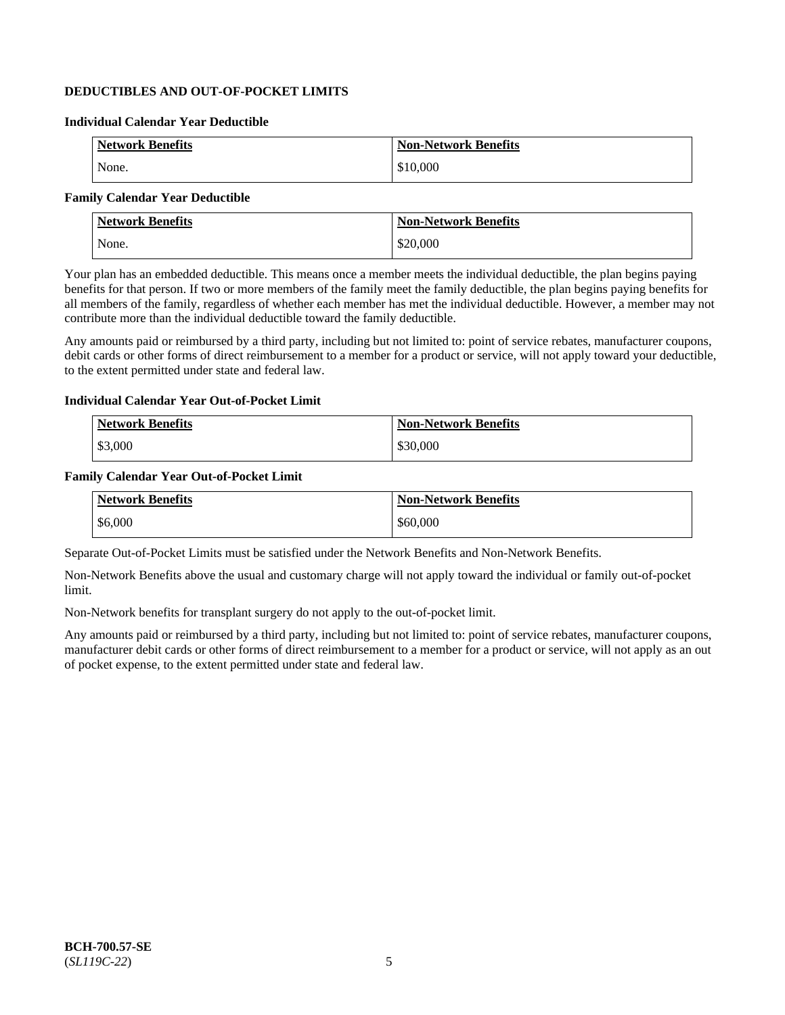# **DEDUCTIBLES AND OUT-OF-POCKET LIMITS**

### **Individual Calendar Year Deductible**

| <b>Network Benefits</b> | <b>Non-Network Benefits</b> |
|-------------------------|-----------------------------|
| None.                   | \$10,000                    |

# **Family Calendar Year Deductible**

| <b>Network Benefits</b> | <b>Non-Network Benefits</b> |
|-------------------------|-----------------------------|
| None.                   | \$20,000                    |

Your plan has an embedded deductible. This means once a member meets the individual deductible, the plan begins paying benefits for that person. If two or more members of the family meet the family deductible, the plan begins paying benefits for all members of the family, regardless of whether each member has met the individual deductible. However, a member may not contribute more than the individual deductible toward the family deductible.

Any amounts paid or reimbursed by a third party, including but not limited to: point of service rebates, manufacturer coupons, debit cards or other forms of direct reimbursement to a member for a product or service, will not apply toward your deductible, to the extent permitted under state and federal law.

### **Individual Calendar Year Out-of-Pocket Limit**

| <b>Network Benefits</b> | <b>Non-Network Benefits</b> |
|-------------------------|-----------------------------|
| \$3,000                 | \$30,000                    |

### **Family Calendar Year Out-of-Pocket Limit**

| <b>Network Benefits</b> | <b>Non-Network Benefits</b> |
|-------------------------|-----------------------------|
| \$6,000                 | \$60,000                    |

Separate Out-of-Pocket Limits must be satisfied under the Network Benefits and Non-Network Benefits.

Non-Network Benefits above the usual and customary charge will not apply toward the individual or family out-of-pocket limit.

Non-Network benefits for transplant surgery do not apply to the out-of-pocket limit.

Any amounts paid or reimbursed by a third party, including but not limited to: point of service rebates, manufacturer coupons, manufacturer debit cards or other forms of direct reimbursement to a member for a product or service, will not apply as an out of pocket expense, to the extent permitted under state and federal law.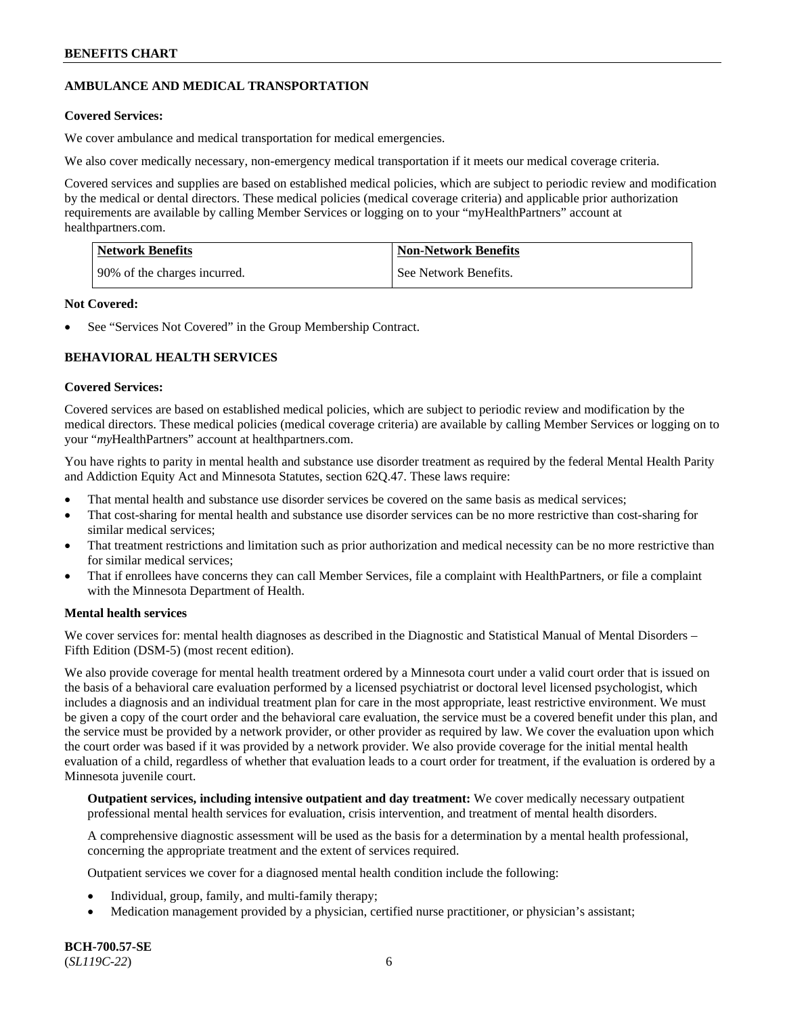# **AMBULANCE AND MEDICAL TRANSPORTATION**

# **Covered Services:**

We cover ambulance and medical transportation for medical emergencies.

We also cover medically necessary, non-emergency medical transportation if it meets our medical coverage criteria.

Covered services and supplies are based on established medical policies, which are subject to periodic review and modification by the medical or dental directors. These medical policies (medical coverage criteria) and applicable prior authorization requirements are available by calling Member Services or logging on to your "myHealthPartners" account at [healthpartners.com.](https://www.healthpartners.com/hp/index.html)

| Network Benefits             | <b>Non-Network Benefits</b> |
|------------------------------|-----------------------------|
| 90% of the charges incurred. | See Network Benefits.       |

# **Not Covered:**

See "Services Not Covered" in the Group Membership Contract.

# **BEHAVIORAL HEALTH SERVICES**

# **Covered Services:**

Covered services are based on established medical policies, which are subject to periodic review and modification by the medical directors. These medical policies (medical coverage criteria) are available by calling Member Services or logging on to your "*my*HealthPartners" account at [healthpartners.com.](http://www.healthpartners.com/)

You have rights to parity in mental health and substance use disorder treatment as required by the federal Mental Health Parity and Addiction Equity Act and Minnesota Statutes, section 62Q.47. These laws require:

- That mental health and substance use disorder services be covered on the same basis as medical services;
- That cost-sharing for mental health and substance use disorder services can be no more restrictive than cost-sharing for similar medical services;
- That treatment restrictions and limitation such as prior authorization and medical necessity can be no more restrictive than for similar medical services;
- That if enrollees have concerns they can call Member Services, file a complaint with HealthPartners, or file a complaint with the Minnesota Department of Health.

# **Mental health services**

We cover services for: mental health diagnoses as described in the Diagnostic and Statistical Manual of Mental Disorders – Fifth Edition (DSM-5) (most recent edition).

We also provide coverage for mental health treatment ordered by a Minnesota court under a valid court order that is issued on the basis of a behavioral care evaluation performed by a licensed psychiatrist or doctoral level licensed psychologist, which includes a diagnosis and an individual treatment plan for care in the most appropriate, least restrictive environment. We must be given a copy of the court order and the behavioral care evaluation, the service must be a covered benefit under this plan, and the service must be provided by a network provider, or other provider as required by law. We cover the evaluation upon which the court order was based if it was provided by a network provider. We also provide coverage for the initial mental health evaluation of a child, regardless of whether that evaluation leads to a court order for treatment, if the evaluation is ordered by a Minnesota juvenile court.

**Outpatient services, including intensive outpatient and day treatment:** We cover medically necessary outpatient professional mental health services for evaluation, crisis intervention, and treatment of mental health disorders.

A comprehensive diagnostic assessment will be used as the basis for a determination by a mental health professional, concerning the appropriate treatment and the extent of services required.

Outpatient services we cover for a diagnosed mental health condition include the following:

- Individual, group, family, and multi-family therapy;
- Medication management provided by a physician, certified nurse practitioner, or physician's assistant;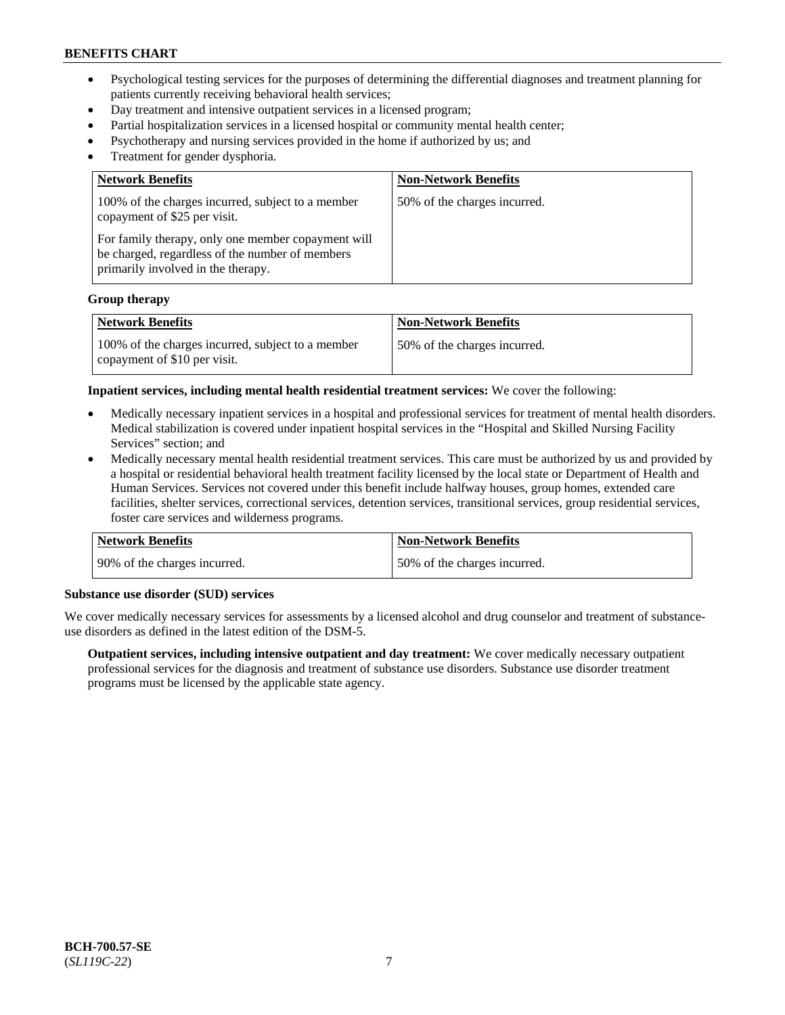- Psychological testing services for the purposes of determining the differential diagnoses and treatment planning for patients currently receiving behavioral health services;
- Day treatment and intensive outpatient services in a licensed program;
- Partial hospitalization services in a licensed hospital or community mental health center;
- Psychotherapy and nursing services provided in the home if authorized by us; and
- Treatment for gender dysphoria.

| <b>Network Benefits</b>                                                                                                                     | <b>Non-Network Benefits</b>  |
|---------------------------------------------------------------------------------------------------------------------------------------------|------------------------------|
| 100% of the charges incurred, subject to a member<br>copayment of \$25 per visit.                                                           | 50% of the charges incurred. |
| For family therapy, only one member copayment will<br>be charged, regardless of the number of members<br>primarily involved in the therapy. |                              |

#### **Group therapy**

| <b>Network Benefits</b>                                                           | <b>Non-Network Benefits</b>  |
|-----------------------------------------------------------------------------------|------------------------------|
| 100% of the charges incurred, subject to a member<br>copayment of \$10 per visit. | 50% of the charges incurred. |

**Inpatient services, including mental health residential treatment services:** We cover the following:

- Medically necessary inpatient services in a hospital and professional services for treatment of mental health disorders. Medical stabilization is covered under inpatient hospital services in the "Hospital and Skilled Nursing Facility Services" section; and
- Medically necessary mental health residential treatment services. This care must be authorized by us and provided by a hospital or residential behavioral health treatment facility licensed by the local state or Department of Health and Human Services. Services not covered under this benefit include halfway houses, group homes, extended care facilities, shelter services, correctional services, detention services, transitional services, group residential services, foster care services and wilderness programs.

| <b>Network Benefits</b>      | Non-Network Benefits         |
|------------------------------|------------------------------|
| 90% of the charges incurred. | 50% of the charges incurred. |

# **Substance use disorder (SUD) services**

We cover medically necessary services for assessments by a licensed alcohol and drug counselor and treatment of substanceuse disorders as defined in the latest edition of the DSM-5.

**Outpatient services, including intensive outpatient and day treatment:** We cover medically necessary outpatient professional services for the diagnosis and treatment of substance use disorders. Substance use disorder treatment programs must be licensed by the applicable state agency.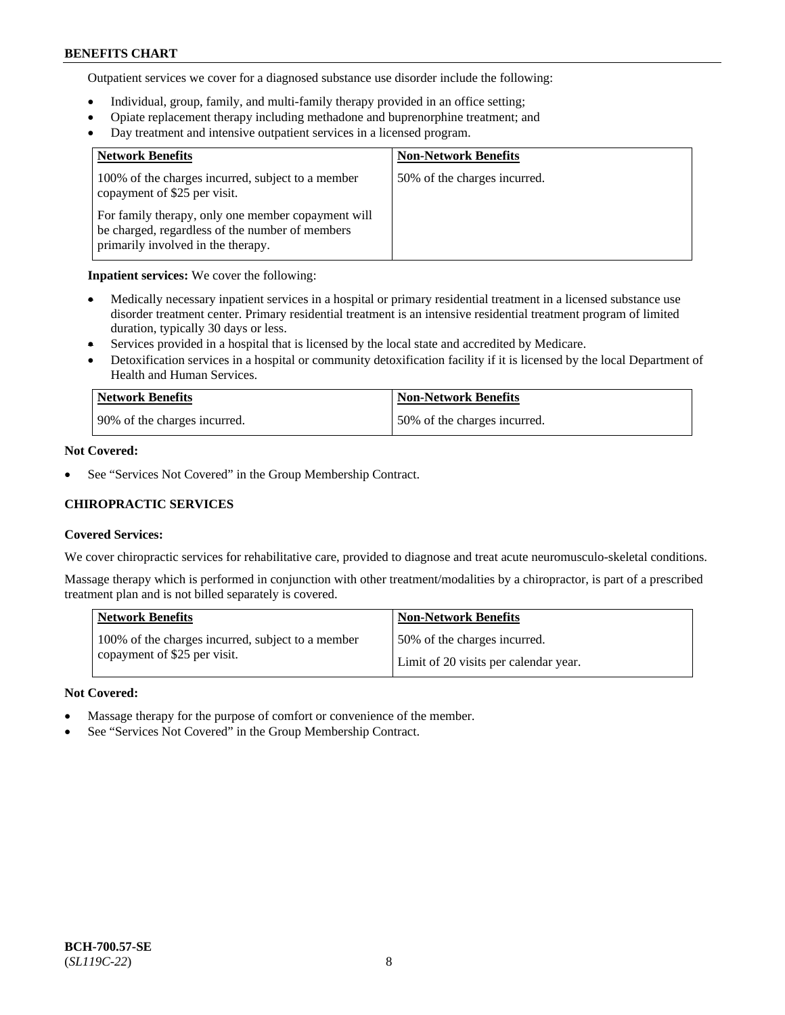Outpatient services we cover for a diagnosed substance use disorder include the following:

- Individual, group, family, and multi-family therapy provided in an office setting;
- Opiate replacement therapy including methadone and buprenorphine treatment; and
- Day treatment and intensive outpatient services in a licensed program.

| <b>Network Benefits</b>                                                                                                                     | <b>Non-Network Benefits</b>  |
|---------------------------------------------------------------------------------------------------------------------------------------------|------------------------------|
| 100% of the charges incurred, subject to a member<br>copayment of \$25 per visit.                                                           | 50% of the charges incurred. |
| For family therapy, only one member copayment will<br>be charged, regardless of the number of members<br>primarily involved in the therapy. |                              |

### **Inpatient services:** We cover the following:

- Medically necessary inpatient services in a hospital or primary residential treatment in a licensed substance use disorder treatment center. Primary residential treatment is an intensive residential treatment program of limited duration, typically 30 days or less.
- Services provided in a hospital that is licensed by the local state and accredited by Medicare.
- Detoxification services in a hospital or community detoxification facility if it is licensed by the local Department of Health and Human Services.

| Network Benefits             | <b>Non-Network Benefits</b>  |
|------------------------------|------------------------------|
| 90% of the charges incurred. | 50% of the charges incurred. |

# **Not Covered:**

See "Services Not Covered" in the Group Membership Contract.

# **CHIROPRACTIC SERVICES**

# **Covered Services:**

We cover chiropractic services for rehabilitative care, provided to diagnose and treat acute neuromusculo-skeletal conditions.

Massage therapy which is performed in conjunction with other treatment/modalities by a chiropractor, is part of a prescribed treatment plan and is not billed separately is covered.

| <b>Network Benefits</b>                           | <b>Non-Network Benefits</b>           |
|---------------------------------------------------|---------------------------------------|
| 100% of the charges incurred, subject to a member | 50% of the charges incurred.          |
| copayment of \$25 per visit.                      | Limit of 20 visits per calendar year. |

# **Not Covered:**

- Massage therapy for the purpose of comfort or convenience of the member.
- See "Services Not Covered" in the Group Membership Contract.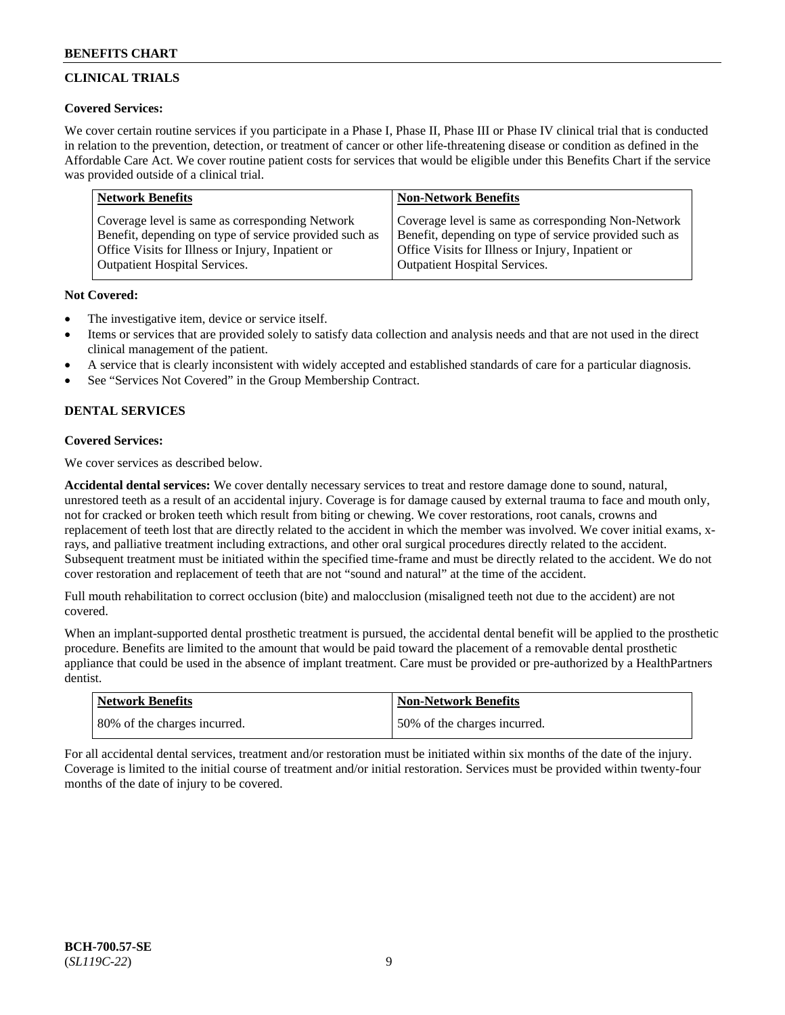# **CLINICAL TRIALS**

# **Covered Services:**

We cover certain routine services if you participate in a Phase I, Phase II, Phase III or Phase IV clinical trial that is conducted in relation to the prevention, detection, or treatment of cancer or other life-threatening disease or condition as defined in the Affordable Care Act. We cover routine patient costs for services that would be eligible under this Benefits Chart if the service was provided outside of a clinical trial.

| <b>Network Benefits</b>                                | <b>Non-Network Benefits</b>                            |
|--------------------------------------------------------|--------------------------------------------------------|
| Coverage level is same as corresponding Network        | Coverage level is same as corresponding Non-Network    |
| Benefit, depending on type of service provided such as | Benefit, depending on type of service provided such as |
| Office Visits for Illness or Injury, Inpatient or      | Office Visits for Illness or Injury, Inpatient or      |
| <b>Outpatient Hospital Services.</b>                   | <b>Outpatient Hospital Services.</b>                   |

# **Not Covered:**

- The investigative item, device or service itself.
- Items or services that are provided solely to satisfy data collection and analysis needs and that are not used in the direct clinical management of the patient.
- A service that is clearly inconsistent with widely accepted and established standards of care for a particular diagnosis.
- See "Services Not Covered" in the Group Membership Contract.

# **DENTAL SERVICES**

# **Covered Services:**

We cover services as described below.

**Accidental dental services:** We cover dentally necessary services to treat and restore damage done to sound, natural, unrestored teeth as a result of an accidental injury. Coverage is for damage caused by external trauma to face and mouth only, not for cracked or broken teeth which result from biting or chewing. We cover restorations, root canals, crowns and replacement of teeth lost that are directly related to the accident in which the member was involved. We cover initial exams, xrays, and palliative treatment including extractions, and other oral surgical procedures directly related to the accident. Subsequent treatment must be initiated within the specified time-frame and must be directly related to the accident. We do not cover restoration and replacement of teeth that are not "sound and natural" at the time of the accident.

Full mouth rehabilitation to correct occlusion (bite) and malocclusion (misaligned teeth not due to the accident) are not covered.

When an implant-supported dental prosthetic treatment is pursued, the accidental dental benefit will be applied to the prosthetic procedure. Benefits are limited to the amount that would be paid toward the placement of a removable dental prosthetic appliance that could be used in the absence of implant treatment. Care must be provided or pre-authorized by a HealthPartners dentist.

| <b>Network Benefits</b>      | <b>Non-Network Benefits</b>  |
|------------------------------|------------------------------|
| 80% of the charges incurred. | 50% of the charges incurred. |

For all accidental dental services, treatment and/or restoration must be initiated within six months of the date of the injury. Coverage is limited to the initial course of treatment and/or initial restoration. Services must be provided within twenty-four months of the date of injury to be covered.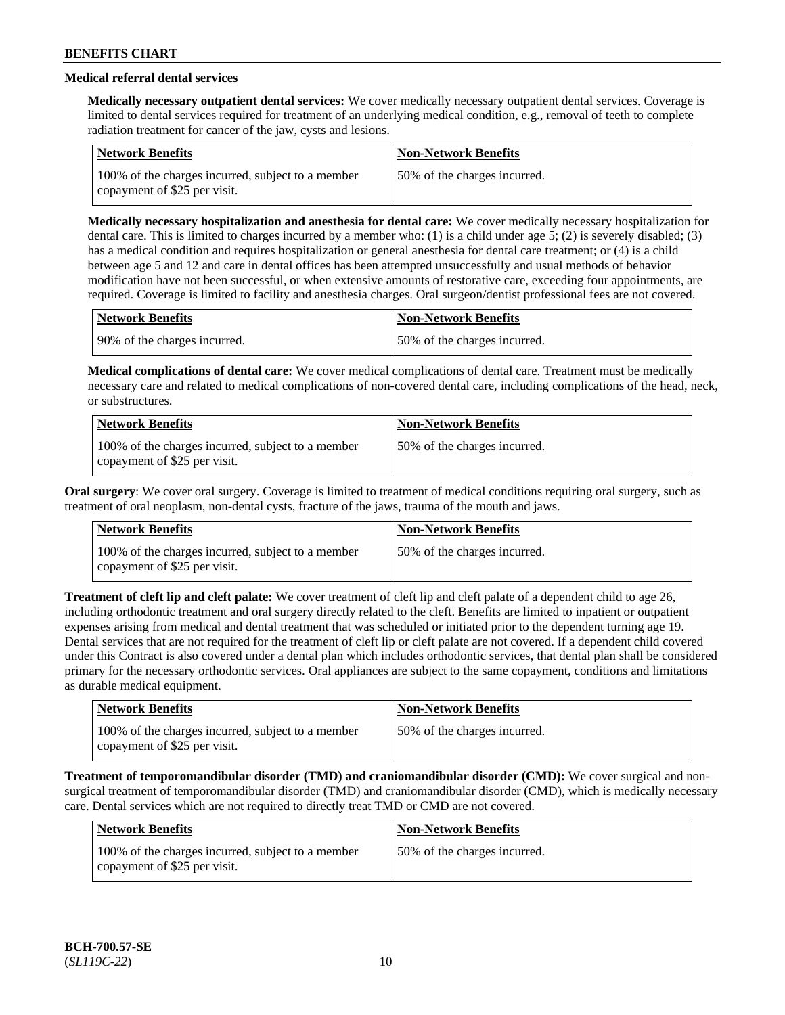# **Medical referral dental services**

**Medically necessary outpatient dental services:** We cover medically necessary outpatient dental services. Coverage is limited to dental services required for treatment of an underlying medical condition, e.g., removal of teeth to complete radiation treatment for cancer of the jaw, cysts and lesions.

| Network Benefits                                                                  | <b>Non-Network Benefits</b>  |
|-----------------------------------------------------------------------------------|------------------------------|
| 100% of the charges incurred, subject to a member<br>copayment of \$25 per visit. | 50% of the charges incurred. |

**Medically necessary hospitalization and anesthesia for dental care:** We cover medically necessary hospitalization for dental care. This is limited to charges incurred by a member who: (1) is a child under age 5; (2) is severely disabled; (3) has a medical condition and requires hospitalization or general anesthesia for dental care treatment; or (4) is a child between age 5 and 12 and care in dental offices has been attempted unsuccessfully and usual methods of behavior modification have not been successful, or when extensive amounts of restorative care, exceeding four appointments, are required. Coverage is limited to facility and anesthesia charges. Oral surgeon/dentist professional fees are not covered.

| <b>Network Benefits</b>      | <b>Non-Network Benefits</b>  |
|------------------------------|------------------------------|
| 90% of the charges incurred. | 50% of the charges incurred. |

**Medical complications of dental care:** We cover medical complications of dental care. Treatment must be medically necessary care and related to medical complications of non-covered dental care, including complications of the head, neck, or substructures.

| Network Benefits                                                                  | <b>Non-Network Benefits</b>  |
|-----------------------------------------------------------------------------------|------------------------------|
| 100% of the charges incurred, subject to a member<br>copayment of \$25 per visit. | 50% of the charges incurred. |

**Oral surgery**: We cover oral surgery. Coverage is limited to treatment of medical conditions requiring oral surgery, such as treatment of oral neoplasm, non-dental cysts, fracture of the jaws, trauma of the mouth and jaws.

| Network Benefits                                                                  | <b>Non-Network Benefits</b>  |
|-----------------------------------------------------------------------------------|------------------------------|
| 100% of the charges incurred, subject to a member<br>copayment of \$25 per visit. | 50% of the charges incurred. |

**Treatment of cleft lip and cleft palate:** We cover treatment of cleft lip and cleft palate of a dependent child to age 26, including orthodontic treatment and oral surgery directly related to the cleft. Benefits are limited to inpatient or outpatient expenses arising from medical and dental treatment that was scheduled or initiated prior to the dependent turning age 19. Dental services that are not required for the treatment of cleft lip or cleft palate are not covered. If a dependent child covered under this Contract is also covered under a dental plan which includes orthodontic services, that dental plan shall be considered primary for the necessary orthodontic services. Oral appliances are subject to the same copayment, conditions and limitations as durable medical equipment.

| <b>Network Benefits</b>                                                           | <b>Non-Network Benefits</b>  |
|-----------------------------------------------------------------------------------|------------------------------|
| 100% of the charges incurred, subject to a member<br>copayment of \$25 per visit. | 50% of the charges incurred. |

**Treatment of temporomandibular disorder (TMD) and craniomandibular disorder (CMD):** We cover surgical and nonsurgical treatment of temporomandibular disorder (TMD) and craniomandibular disorder (CMD), which is medically necessary care. Dental services which are not required to directly treat TMD or CMD are not covered.

| Network Benefits                                                                  | <b>Non-Network Benefits</b>  |
|-----------------------------------------------------------------------------------|------------------------------|
| 100% of the charges incurred, subject to a member<br>copayment of \$25 per visit. | 50% of the charges incurred. |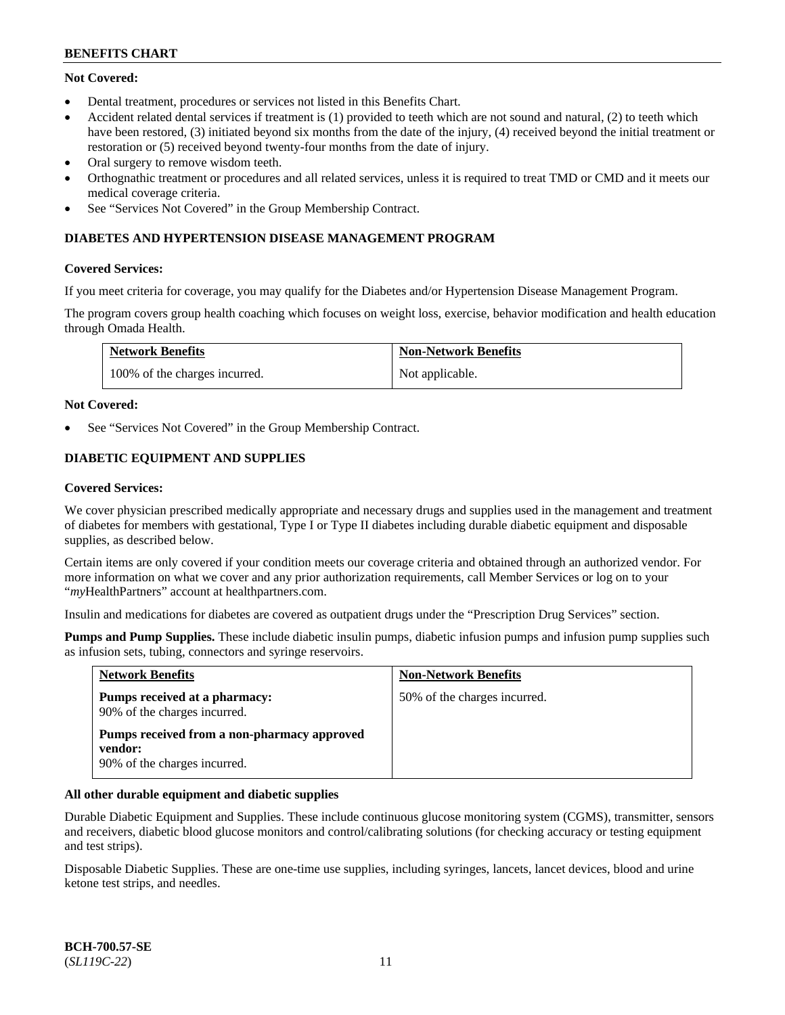# **Not Covered:**

- Dental treatment, procedures or services not listed in this Benefits Chart.
- Accident related dental services if treatment is (1) provided to teeth which are not sound and natural, (2) to teeth which have been restored, (3) initiated beyond six months from the date of the injury, (4) received beyond the initial treatment or restoration or (5) received beyond twenty-four months from the date of injury.
- Oral surgery to remove wisdom teeth.
- Orthognathic treatment or procedures and all related services, unless it is required to treat TMD or CMD and it meets our medical coverage criteria.
- See "Services Not Covered" in the Group Membership Contract.

# **DIABETES AND HYPERTENSION DISEASE MANAGEMENT PROGRAM**

### **Covered Services:**

If you meet criteria for coverage, you may qualify for the Diabetes and/or Hypertension Disease Management Program.

The program covers group health coaching which focuses on weight loss, exercise, behavior modification and health education through Omada Health.

| <b>Network Benefits</b>       | <b>Non-Network Benefits</b> |
|-------------------------------|-----------------------------|
| 100% of the charges incurred. | Not applicable.             |

### **Not Covered:**

See "Services Not Covered" in the Group Membership Contract.

# **DIABETIC EQUIPMENT AND SUPPLIES**

#### **Covered Services:**

We cover physician prescribed medically appropriate and necessary drugs and supplies used in the management and treatment of diabetes for members with gestational, Type I or Type II diabetes including durable diabetic equipment and disposable supplies, as described below.

Certain items are only covered if your condition meets our coverage criteria and obtained through an authorized vendor. For more information on what we cover and any prior authorization requirements, call Member Services or log on to your "*my*HealthPartners" account at [healthpartners.com.](http://www.healthpartners.com/)

Insulin and medications for diabetes are covered as outpatient drugs under the "Prescription Drug Services" section.

**Pumps and Pump Supplies.** These include diabetic insulin pumps, diabetic infusion pumps and infusion pump supplies such as infusion sets, tubing, connectors and syringe reservoirs.

| <b>Network Benefits</b>                                                                | <b>Non-Network Benefits</b>  |
|----------------------------------------------------------------------------------------|------------------------------|
| Pumps received at a pharmacy:<br>90% of the charges incurred.                          | 50% of the charges incurred. |
| Pumps received from a non-pharmacy approved<br>vendor:<br>90% of the charges incurred. |                              |

#### **All other durable equipment and diabetic supplies**

Durable Diabetic Equipment and Supplies. These include continuous glucose monitoring system (CGMS), transmitter, sensors and receivers, diabetic blood glucose monitors and control/calibrating solutions (for checking accuracy or testing equipment and test strips).

Disposable Diabetic Supplies. These are one-time use supplies, including syringes, lancets, lancet devices, blood and urine ketone test strips, and needles.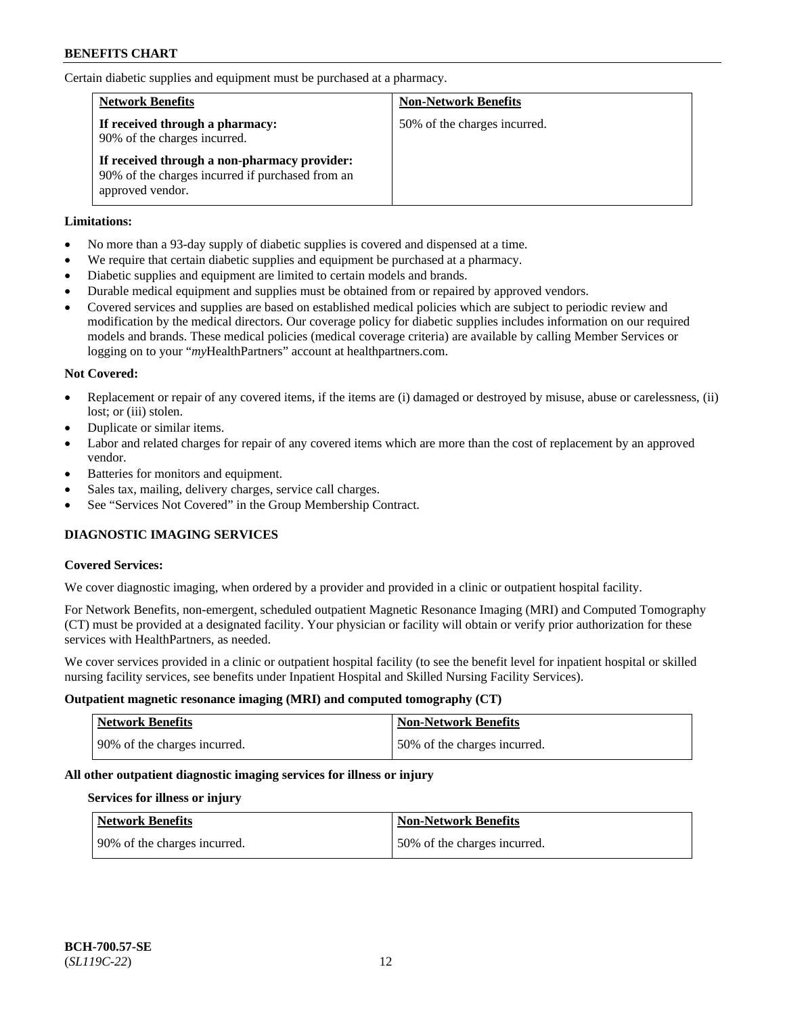Certain diabetic supplies and equipment must be purchased at a pharmacy.

| <b>Network Benefits</b>                                                                                              | <b>Non-Network Benefits</b>  |
|----------------------------------------------------------------------------------------------------------------------|------------------------------|
| If received through a pharmacy:<br>90% of the charges incurred.                                                      | 50% of the charges incurred. |
| If received through a non-pharmacy provider:<br>90% of the charges incurred if purchased from an<br>approved vendor. |                              |

# **Limitations:**

- No more than a 93-day supply of diabetic supplies is covered and dispensed at a time.
- We require that certain diabetic supplies and equipment be purchased at a pharmacy.
- Diabetic supplies and equipment are limited to certain models and brands.
- Durable medical equipment and supplies must be obtained from or repaired by approved vendors.
- Covered services and supplies are based on established medical policies which are subject to periodic review and modification by the medical directors. Our coverage policy for diabetic supplies includes information on our required models and brands. These medical policies (medical coverage criteria) are available by calling Member Services or logging on to your "*my*HealthPartners" account at [healthpartners.com.](http://www.healthpartners.com/)

# **Not Covered:**

- Replacement or repair of any covered items, if the items are (i) damaged or destroyed by misuse, abuse or carelessness, (ii) lost; or (iii) stolen.
- Duplicate or similar items.
- Labor and related charges for repair of any covered items which are more than the cost of replacement by an approved vendor.
- Batteries for monitors and equipment.
- Sales tax, mailing, delivery charges, service call charges.
- See "Services Not Covered" in the Group Membership Contract.

# **DIAGNOSTIC IMAGING SERVICES**

#### **Covered Services:**

We cover diagnostic imaging, when ordered by a provider and provided in a clinic or outpatient hospital facility.

For Network Benefits, non-emergent, scheduled outpatient Magnetic Resonance Imaging (MRI) and Computed Tomography (CT) must be provided at a designated facility. Your physician or facility will obtain or verify prior authorization for these services with HealthPartners, as needed.

We cover services provided in a clinic or outpatient hospital facility (to see the benefit level for inpatient hospital or skilled nursing facility services, see benefits under Inpatient Hospital and Skilled Nursing Facility Services).

#### **Outpatient magnetic resonance imaging (MRI) and computed tomography (CT)**

| <b>Network Benefits</b>      | <b>Non-Network Benefits</b>  |
|------------------------------|------------------------------|
| 90% of the charges incurred. | 50% of the charges incurred. |

# **All other outpatient diagnostic imaging services for illness or injury**

#### **Services for illness or injury**

| Network Benefits               | <b>Non-Network Benefits</b>  |
|--------------------------------|------------------------------|
| 1 90% of the charges incurred. | 50% of the charges incurred. |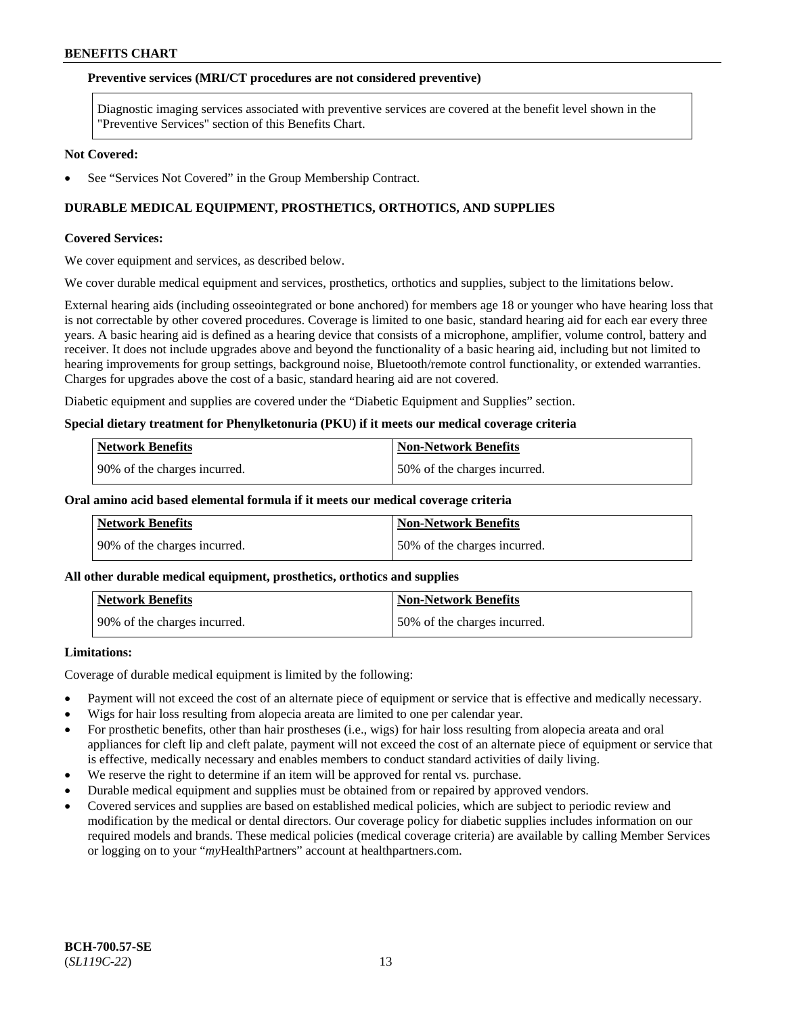#### **Preventive services (MRI/CT procedures are not considered preventive)**

Diagnostic imaging services associated with preventive services are covered at the benefit level shown in the "Preventive Services" section of this Benefits Chart.

### **Not Covered:**

See "Services Not Covered" in the Group Membership Contract.

# **DURABLE MEDICAL EQUIPMENT, PROSTHETICS, ORTHOTICS, AND SUPPLIES**

#### **Covered Services:**

We cover equipment and services, as described below.

We cover durable medical equipment and services, prosthetics, orthotics and supplies, subject to the limitations below.

External hearing aids (including osseointegrated or bone anchored) for members age 18 or younger who have hearing loss that is not correctable by other covered procedures. Coverage is limited to one basic, standard hearing aid for each ear every three years. A basic hearing aid is defined as a hearing device that consists of a microphone, amplifier, volume control, battery and receiver. It does not include upgrades above and beyond the functionality of a basic hearing aid, including but not limited to hearing improvements for group settings, background noise, Bluetooth/remote control functionality, or extended warranties. Charges for upgrades above the cost of a basic, standard hearing aid are not covered.

Diabetic equipment and supplies are covered under the "Diabetic Equipment and Supplies" section.

#### **Special dietary treatment for Phenylketonuria (PKU) if it meets our medical coverage criteria**

| <b>Network Benefits</b>      | <b>Non-Network Benefits</b>  |
|------------------------------|------------------------------|
| 90% of the charges incurred. | 50% of the charges incurred. |

#### **Oral amino acid based elemental formula if it meets our medical coverage criteria**

| Network Benefits               | Non-Network Benefits         |
|--------------------------------|------------------------------|
| 1 90% of the charges incurred. | 50% of the charges incurred. |

#### **All other durable medical equipment, prosthetics, orthotics and supplies**

| Network Benefits              | <b>Non-Network Benefits</b>  |
|-------------------------------|------------------------------|
| 190% of the charges incurred. | 50% of the charges incurred. |

#### **Limitations:**

Coverage of durable medical equipment is limited by the following:

- Payment will not exceed the cost of an alternate piece of equipment or service that is effective and medically necessary.
- Wigs for hair loss resulting from alopecia areata are limited to one per calendar year.
- For prosthetic benefits, other than hair prostheses (i.e., wigs) for hair loss resulting from alopecia areata and oral appliances for cleft lip and cleft palate, payment will not exceed the cost of an alternate piece of equipment or service that is effective, medically necessary and enables members to conduct standard activities of daily living.
- We reserve the right to determine if an item will be approved for rental vs. purchase.
- Durable medical equipment and supplies must be obtained from or repaired by approved vendors.
- Covered services and supplies are based on established medical policies, which are subject to periodic review and modification by the medical or dental directors. Our coverage policy for diabetic supplies includes information on our required models and brands. These medical policies (medical coverage criteria) are available by calling Member Services or logging on to your "*my*HealthPartners" account a[t healthpartners.com.](https://www.healthpartners.com/hp/index.html)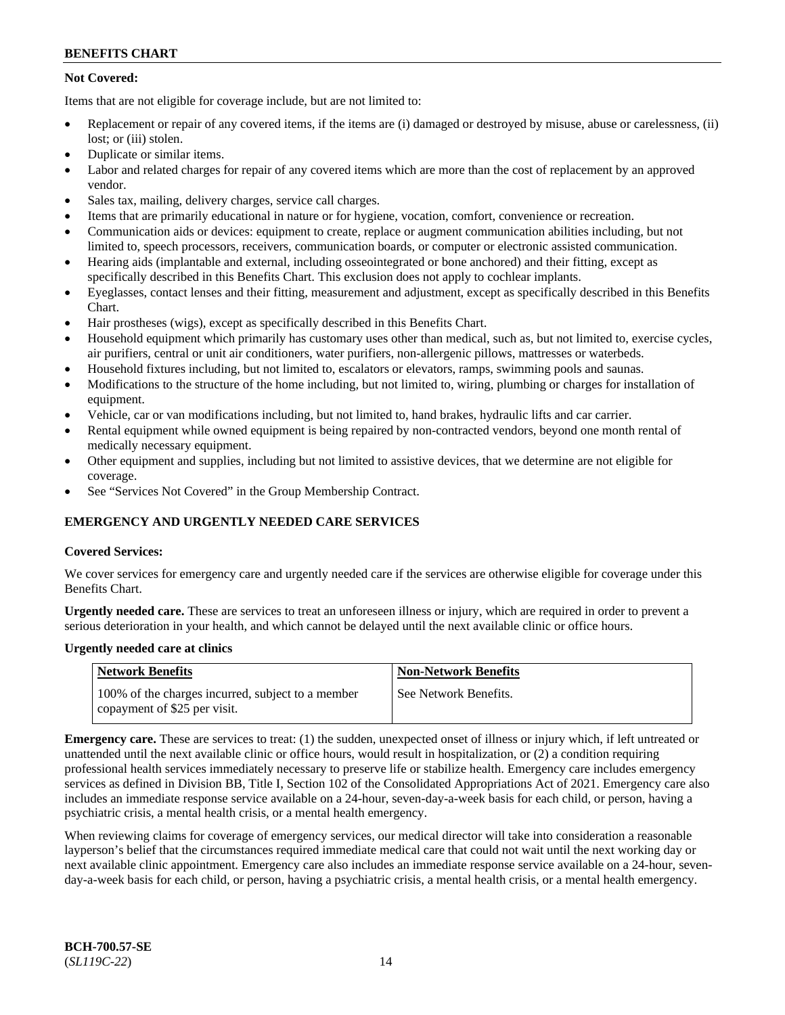# **Not Covered:**

Items that are not eligible for coverage include, but are not limited to:

- Replacement or repair of any covered items, if the items are (i) damaged or destroyed by misuse, abuse or carelessness, (ii) lost; or (iii) stolen.
- Duplicate or similar items.
- Labor and related charges for repair of any covered items which are more than the cost of replacement by an approved vendor.
- Sales tax, mailing, delivery charges, service call charges.
- Items that are primarily educational in nature or for hygiene, vocation, comfort, convenience or recreation.
- Communication aids or devices: equipment to create, replace or augment communication abilities including, but not limited to, speech processors, receivers, communication boards, or computer or electronic assisted communication.
- Hearing aids (implantable and external, including osseointegrated or bone anchored) and their fitting, except as specifically described in this Benefits Chart. This exclusion does not apply to cochlear implants.
- Eyeglasses, contact lenses and their fitting, measurement and adjustment, except as specifically described in this Benefits Chart.
- Hair prostheses (wigs), except as specifically described in this Benefits Chart.
- Household equipment which primarily has customary uses other than medical, such as, but not limited to, exercise cycles, air purifiers, central or unit air conditioners, water purifiers, non-allergenic pillows, mattresses or waterbeds.
- Household fixtures including, but not limited to, escalators or elevators, ramps, swimming pools and saunas.
- Modifications to the structure of the home including, but not limited to, wiring, plumbing or charges for installation of equipment.
- Vehicle, car or van modifications including, but not limited to, hand brakes, hydraulic lifts and car carrier.
- Rental equipment while owned equipment is being repaired by non-contracted vendors, beyond one month rental of medically necessary equipment.
- Other equipment and supplies, including but not limited to assistive devices, that we determine are not eligible for coverage.
- See "Services Not Covered" in the Group Membership Contract.

# **EMERGENCY AND URGENTLY NEEDED CARE SERVICES**

# **Covered Services:**

We cover services for emergency care and urgently needed care if the services are otherwise eligible for coverage under this Benefits Chart.

**Urgently needed care.** These are services to treat an unforeseen illness or injury, which are required in order to prevent a serious deterioration in your health, and which cannot be delayed until the next available clinic or office hours.

# **Urgently needed care at clinics**

| <b>Network Benefits</b>                                                           | <b>Non-Network Benefits</b> |
|-----------------------------------------------------------------------------------|-----------------------------|
| 100% of the charges incurred, subject to a member<br>copayment of \$25 per visit. | See Network Benefits.       |

**Emergency care.** These are services to treat: (1) the sudden, unexpected onset of illness or injury which, if left untreated or unattended until the next available clinic or office hours, would result in hospitalization, or (2) a condition requiring professional health services immediately necessary to preserve life or stabilize health. Emergency care includes emergency services as defined in Division BB, Title I, Section 102 of the Consolidated Appropriations Act of 2021. Emergency care also includes an immediate response service available on a 24-hour, seven-day-a-week basis for each child, or person, having a psychiatric crisis, a mental health crisis, or a mental health emergency.

When reviewing claims for coverage of emergency services, our medical director will take into consideration a reasonable layperson's belief that the circumstances required immediate medical care that could not wait until the next working day or next available clinic appointment. Emergency care also includes an immediate response service available on a 24-hour, sevenday-a-week basis for each child, or person, having a psychiatric crisis, a mental health crisis, or a mental health emergency.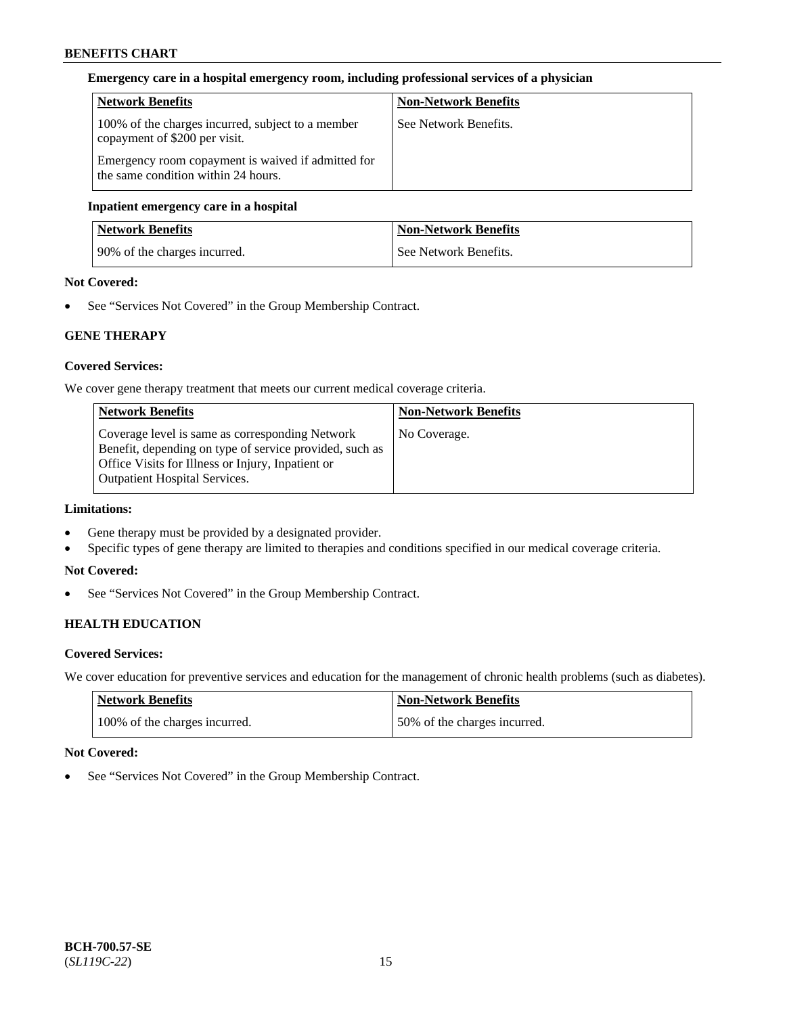# **Emergency care in a hospital emergency room, including professional services of a physician**

| <b>Network Benefits</b>                                                                   | <b>Non-Network Benefits</b> |
|-------------------------------------------------------------------------------------------|-----------------------------|
| 100% of the charges incurred, subject to a member<br>copayment of \$200 per visit.        | See Network Benefits.       |
| Emergency room copayment is waived if admitted for<br>the same condition within 24 hours. |                             |

# **Inpatient emergency care in a hospital**

| <b>Network Benefits</b>      | <b>Non-Network Benefits</b> |
|------------------------------|-----------------------------|
| 90% of the charges incurred. | See Network Benefits.       |

# **Not Covered:**

See "Services Not Covered" in the Group Membership Contract.

# **GENE THERAPY**

# **Covered Services:**

We cover gene therapy treatment that meets our current medical coverage criteria.

| <b>Network Benefits</b>                                                                                                                                                                                 | <b>Non-Network Benefits</b> |
|---------------------------------------------------------------------------------------------------------------------------------------------------------------------------------------------------------|-----------------------------|
| Coverage level is same as corresponding Network<br>Benefit, depending on type of service provided, such as<br>Office Visits for Illness or Injury, Inpatient or<br><b>Outpatient Hospital Services.</b> | No Coverage.                |

# **Limitations:**

- Gene therapy must be provided by a designated provider.
- Specific types of gene therapy are limited to therapies and conditions specified in our medical coverage criteria.

# **Not Covered:**

• See "Services Not Covered" in the Group Membership Contract.

# **HEALTH EDUCATION**

# **Covered Services:**

We cover education for preventive services and education for the management of chronic health problems (such as diabetes).

| Network Benefits              | <b>Non-Network Benefits</b>  |
|-------------------------------|------------------------------|
| 100% of the charges incurred. | 50% of the charges incurred. |

# **Not Covered:**

• See "Services Not Covered" in the Group Membership Contract.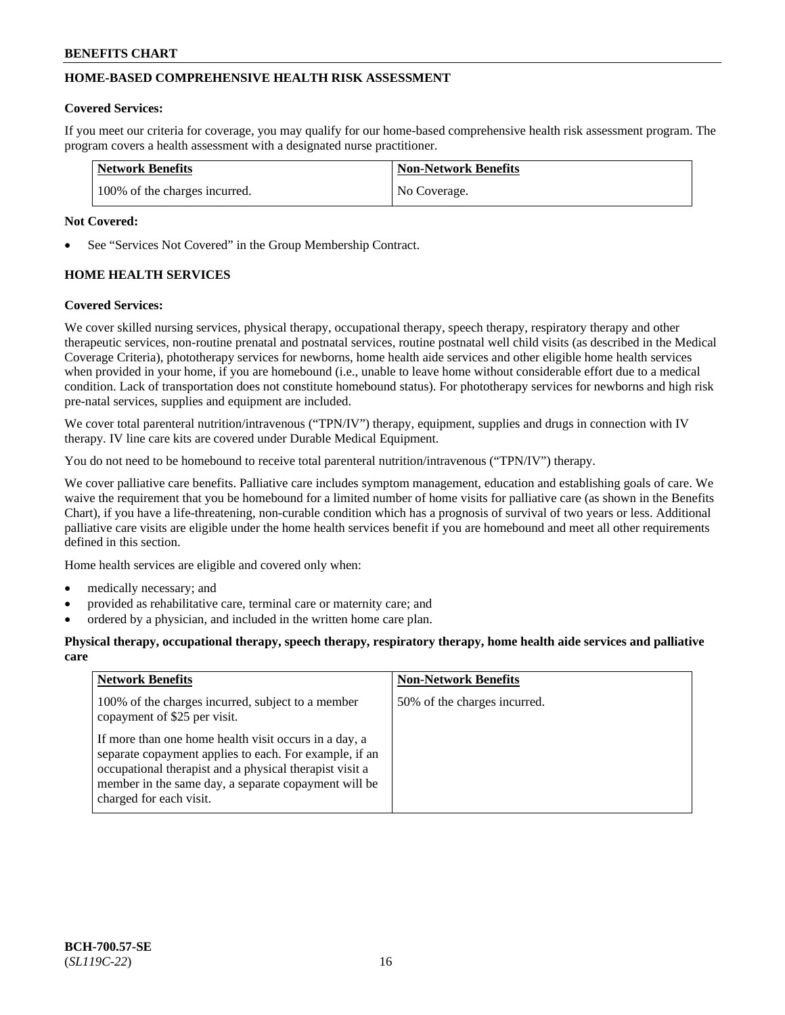# **HOME-BASED COMPREHENSIVE HEALTH RISK ASSESSMENT**

### **Covered Services:**

If you meet our criteria for coverage, you may qualify for our home-based comprehensive health risk assessment program. The program covers a health assessment with a designated nurse practitioner.

| <b>Network Benefits</b>       | <b>Non-Network Benefits</b> |
|-------------------------------|-----------------------------|
| 100% of the charges incurred. | No Coverage.                |

### **Not Covered:**

See "Services Not Covered" in the Group Membership Contract.

# **HOME HEALTH SERVICES**

### **Covered Services:**

We cover skilled nursing services, physical therapy, occupational therapy, speech therapy, respiratory therapy and other therapeutic services, non-routine prenatal and postnatal services, routine postnatal well child visits (as described in the Medical Coverage Criteria), phototherapy services for newborns, home health aide services and other eligible home health services when provided in your home, if you are homebound (i.e., unable to leave home without considerable effort due to a medical condition. Lack of transportation does not constitute homebound status). For phototherapy services for newborns and high risk pre-natal services, supplies and equipment are included.

We cover total parenteral nutrition/intravenous ("TPN/IV") therapy, equipment, supplies and drugs in connection with IV therapy. IV line care kits are covered under Durable Medical Equipment.

You do not need to be homebound to receive total parenteral nutrition/intravenous ("TPN/IV") therapy.

We cover palliative care benefits. Palliative care includes symptom management, education and establishing goals of care. We waive the requirement that you be homebound for a limited number of home visits for palliative care (as shown in the Benefits Chart), if you have a life-threatening, non-curable condition which has a prognosis of survival of two years or less. Additional palliative care visits are eligible under the home health services benefit if you are homebound and meet all other requirements defined in this section.

Home health services are eligible and covered only when:

- medically necessary; and
- provided as rehabilitative care, terminal care or maternity care; and
- ordered by a physician, and included in the written home care plan.

### **Physical therapy, occupational therapy, speech therapy, respiratory therapy, home health aide services and palliative care**

| <b>Network Benefits</b>                                                                                                                                                                                                                                       | <b>Non-Network Benefits</b>  |
|---------------------------------------------------------------------------------------------------------------------------------------------------------------------------------------------------------------------------------------------------------------|------------------------------|
| 100% of the charges incurred, subject to a member<br>copayment of \$25 per visit.                                                                                                                                                                             | 50% of the charges incurred. |
| If more than one home health visit occurs in a day, a<br>separate copayment applies to each. For example, if an<br>occupational therapist and a physical therapist visit a<br>member in the same day, a separate copayment will be<br>charged for each visit. |                              |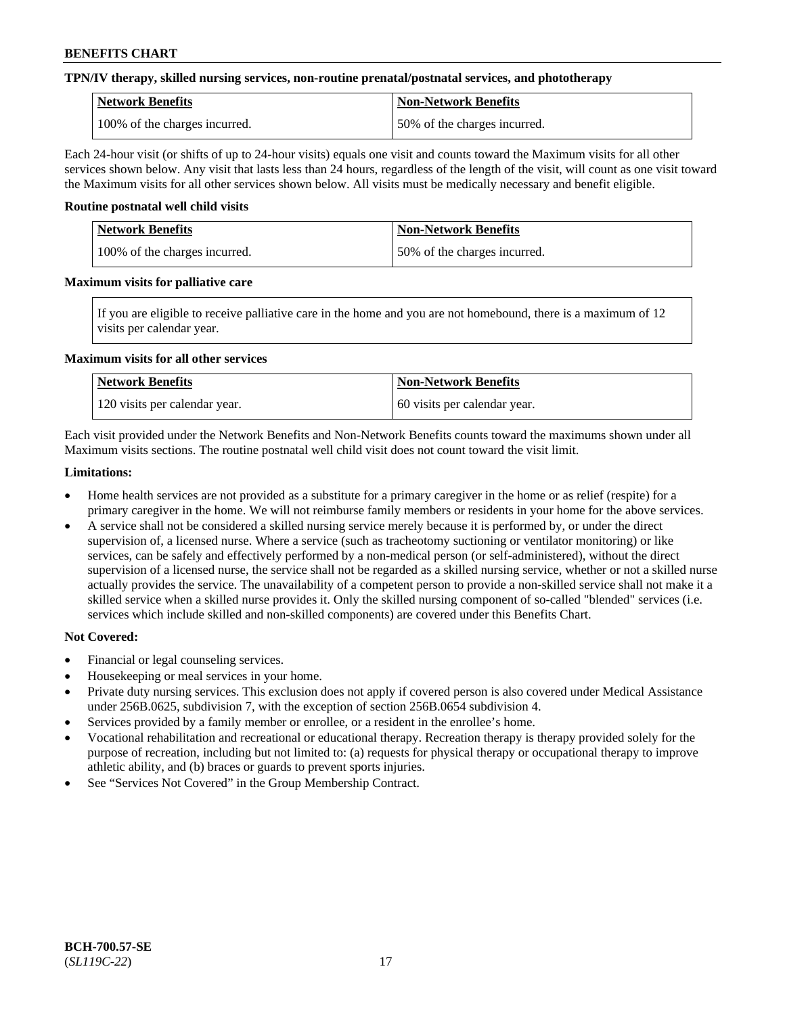### **TPN/IV therapy, skilled nursing services, non-routine prenatal/postnatal services, and phototherapy**

| Network Benefits              | <b>Non-Network Benefits</b>  |
|-------------------------------|------------------------------|
| 100% of the charges incurred. | 50% of the charges incurred. |

Each 24-hour visit (or shifts of up to 24-hour visits) equals one visit and counts toward the Maximum visits for all other services shown below. Any visit that lasts less than 24 hours, regardless of the length of the visit, will count as one visit toward the Maximum visits for all other services shown below. All visits must be medically necessary and benefit eligible.

#### **Routine postnatal well child visits**

| <b>Network Benefits</b>       | <b>Non-Network Benefits</b>  |
|-------------------------------|------------------------------|
| 100% of the charges incurred. | 50% of the charges incurred. |

### **Maximum visits for palliative care**

If you are eligible to receive palliative care in the home and you are not homebound, there is a maximum of 12 visits per calendar year.

#### **Maximum visits for all other services**

| <b>Network Benefits</b>       | Non-Network Benefits          |
|-------------------------------|-------------------------------|
| 120 visits per calendar year. | 160 visits per calendar year. |

Each visit provided under the Network Benefits and Non-Network Benefits counts toward the maximums shown under all Maximum visits sections. The routine postnatal well child visit does not count toward the visit limit.

#### **Limitations:**

- Home health services are not provided as a substitute for a primary caregiver in the home or as relief (respite) for a primary caregiver in the home. We will not reimburse family members or residents in your home for the above services.
- A service shall not be considered a skilled nursing service merely because it is performed by, or under the direct supervision of, a licensed nurse. Where a service (such as tracheotomy suctioning or ventilator monitoring) or like services, can be safely and effectively performed by a non-medical person (or self-administered), without the direct supervision of a licensed nurse, the service shall not be regarded as a skilled nursing service, whether or not a skilled nurse actually provides the service. The unavailability of a competent person to provide a non-skilled service shall not make it a skilled service when a skilled nurse provides it. Only the skilled nursing component of so-called "blended" services (i.e. services which include skilled and non-skilled components) are covered under this Benefits Chart.

#### **Not Covered:**

- Financial or legal counseling services.
- Housekeeping or meal services in your home.
- Private duty nursing services. This exclusion does not apply if covered person is also covered under Medical Assistance under 256B.0625, subdivision 7, with the exception of section 256B.0654 subdivision 4.
- Services provided by a family member or enrollee, or a resident in the enrollee's home.
- Vocational rehabilitation and recreational or educational therapy. Recreation therapy is therapy provided solely for the purpose of recreation, including but not limited to: (a) requests for physical therapy or occupational therapy to improve athletic ability, and (b) braces or guards to prevent sports injuries.
- See "Services Not Covered" in the Group Membership Contract.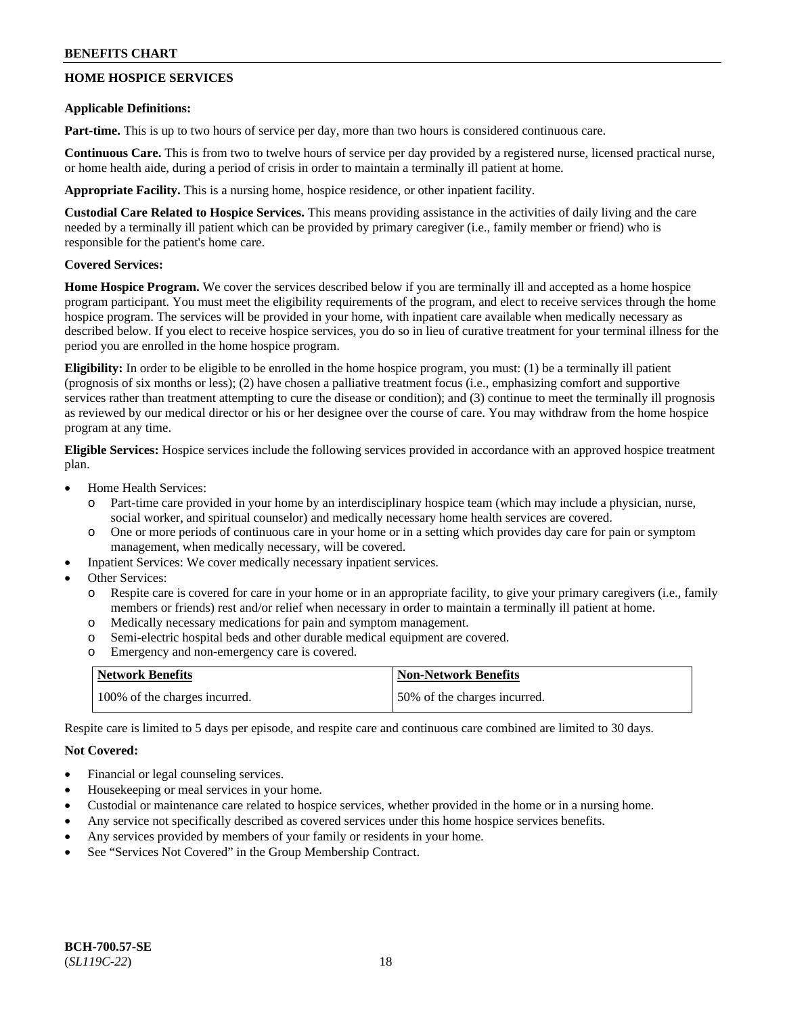# **HOME HOSPICE SERVICES**

### **Applicable Definitions:**

**Part-time.** This is up to two hours of service per day, more than two hours is considered continuous care.

**Continuous Care.** This is from two to twelve hours of service per day provided by a registered nurse, licensed practical nurse, or home health aide, during a period of crisis in order to maintain a terminally ill patient at home.

**Appropriate Facility.** This is a nursing home, hospice residence, or other inpatient facility.

**Custodial Care Related to Hospice Services.** This means providing assistance in the activities of daily living and the care needed by a terminally ill patient which can be provided by primary caregiver (i.e., family member or friend) who is responsible for the patient's home care.

# **Covered Services:**

**Home Hospice Program.** We cover the services described below if you are terminally ill and accepted as a home hospice program participant. You must meet the eligibility requirements of the program, and elect to receive services through the home hospice program. The services will be provided in your home, with inpatient care available when medically necessary as described below. If you elect to receive hospice services, you do so in lieu of curative treatment for your terminal illness for the period you are enrolled in the home hospice program.

**Eligibility:** In order to be eligible to be enrolled in the home hospice program, you must: (1) be a terminally ill patient (prognosis of six months or less); (2) have chosen a palliative treatment focus (i.e., emphasizing comfort and supportive services rather than treatment attempting to cure the disease or condition); and (3) continue to meet the terminally ill prognosis as reviewed by our medical director or his or her designee over the course of care. You may withdraw from the home hospice program at any time.

**Eligible Services:** Hospice services include the following services provided in accordance with an approved hospice treatment plan.

- Home Health Services:
	- o Part-time care provided in your home by an interdisciplinary hospice team (which may include a physician, nurse, social worker, and spiritual counselor) and medically necessary home health services are covered.
	- o One or more periods of continuous care in your home or in a setting which provides day care for pain or symptom management, when medically necessary, will be covered.
- Inpatient Services: We cover medically necessary inpatient services.
- Other Services:
	- o Respite care is covered for care in your home or in an appropriate facility, to give your primary caregivers (i.e., family members or friends) rest and/or relief when necessary in order to maintain a terminally ill patient at home.
	- o Medically necessary medications for pain and symptom management.
	- o Semi-electric hospital beds and other durable medical equipment are covered.
	- o Emergency and non-emergency care is covered.

| <b>Network Benefits</b>       | Non-Network Benefits          |
|-------------------------------|-------------------------------|
| 100% of the charges incurred. | 150% of the charges incurred. |

Respite care is limited to 5 days per episode, and respite care and continuous care combined are limited to 30 days.

# **Not Covered:**

- Financial or legal counseling services.
- Housekeeping or meal services in your home.
- Custodial or maintenance care related to hospice services, whether provided in the home or in a nursing home.
- Any service not specifically described as covered services under this home hospice services benefits.
- Any services provided by members of your family or residents in your home.
- See "Services Not Covered" in the Group Membership Contract.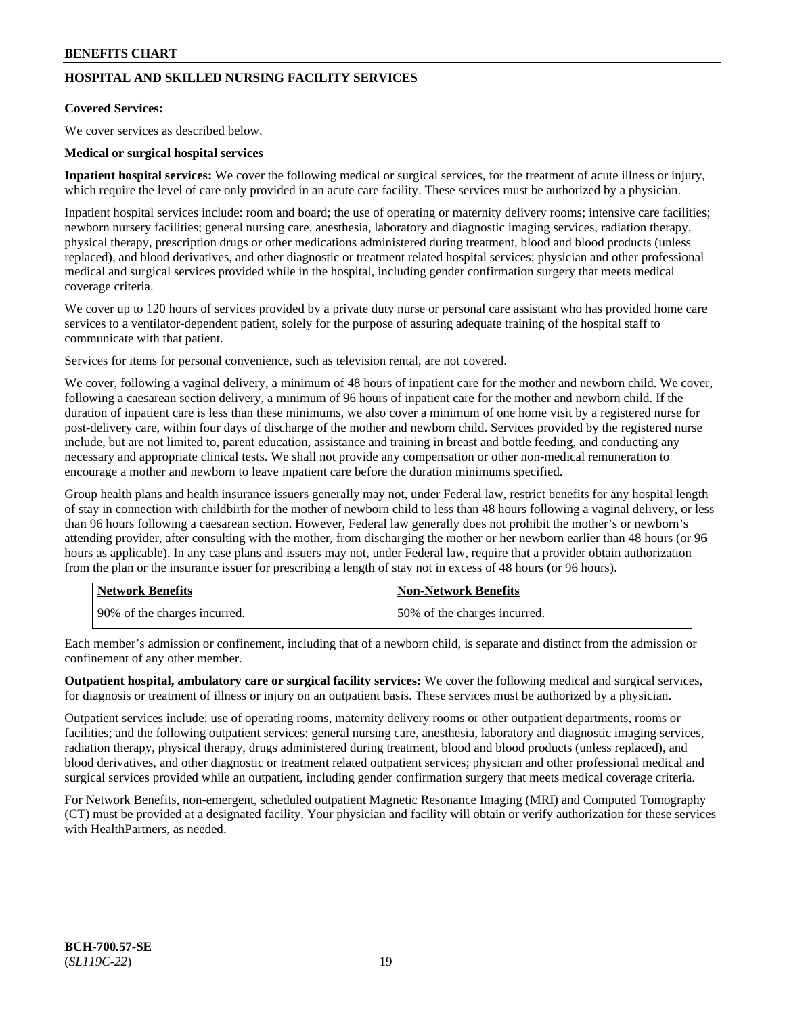# **HOSPITAL AND SKILLED NURSING FACILITY SERVICES**

# **Covered Services:**

We cover services as described below.

### **Medical or surgical hospital services**

**Inpatient hospital services:** We cover the following medical or surgical services, for the treatment of acute illness or injury, which require the level of care only provided in an acute care facility. These services must be authorized by a physician.

Inpatient hospital services include: room and board; the use of operating or maternity delivery rooms; intensive care facilities; newborn nursery facilities; general nursing care, anesthesia, laboratory and diagnostic imaging services, radiation therapy, physical therapy, prescription drugs or other medications administered during treatment, blood and blood products (unless replaced), and blood derivatives, and other diagnostic or treatment related hospital services; physician and other professional medical and surgical services provided while in the hospital, including gender confirmation surgery that meets medical coverage criteria.

We cover up to 120 hours of services provided by a private duty nurse or personal care assistant who has provided home care services to a ventilator-dependent patient, solely for the purpose of assuring adequate training of the hospital staff to communicate with that patient.

Services for items for personal convenience, such as television rental, are not covered.

We cover, following a vaginal delivery, a minimum of 48 hours of inpatient care for the mother and newborn child. We cover, following a caesarean section delivery, a minimum of 96 hours of inpatient care for the mother and newborn child. If the duration of inpatient care is less than these minimums, we also cover a minimum of one home visit by a registered nurse for post-delivery care, within four days of discharge of the mother and newborn child. Services provided by the registered nurse include, but are not limited to, parent education, assistance and training in breast and bottle feeding, and conducting any necessary and appropriate clinical tests. We shall not provide any compensation or other non-medical remuneration to encourage a mother and newborn to leave inpatient care before the duration minimums specified.

Group health plans and health insurance issuers generally may not, under Federal law, restrict benefits for any hospital length of stay in connection with childbirth for the mother of newborn child to less than 48 hours following a vaginal delivery, or less than 96 hours following a caesarean section. However, Federal law generally does not prohibit the mother's or newborn's attending provider, after consulting with the mother, from discharging the mother or her newborn earlier than 48 hours (or 96 hours as applicable). In any case plans and issuers may not, under Federal law, require that a provider obtain authorization from the plan or the insurance issuer for prescribing a length of stay not in excess of 48 hours (or 96 hours).

| <b>Network Benefits</b>      | <b>Non-Network Benefits</b>  |
|------------------------------|------------------------------|
| 90% of the charges incurred. | 50% of the charges incurred. |

Each member's admission or confinement, including that of a newborn child, is separate and distinct from the admission or confinement of any other member.

**Outpatient hospital, ambulatory care or surgical facility services:** We cover the following medical and surgical services, for diagnosis or treatment of illness or injury on an outpatient basis. These services must be authorized by a physician.

Outpatient services include: use of operating rooms, maternity delivery rooms or other outpatient departments, rooms or facilities; and the following outpatient services: general nursing care, anesthesia, laboratory and diagnostic imaging services, radiation therapy, physical therapy, drugs administered during treatment, blood and blood products (unless replaced), and blood derivatives, and other diagnostic or treatment related outpatient services; physician and other professional medical and surgical services provided while an outpatient, including gender confirmation surgery that meets medical coverage criteria.

For Network Benefits, non-emergent, scheduled outpatient Magnetic Resonance Imaging (MRI) and Computed Tomography (CT) must be provided at a designated facility. Your physician and facility will obtain or verify authorization for these services with HealthPartners, as needed.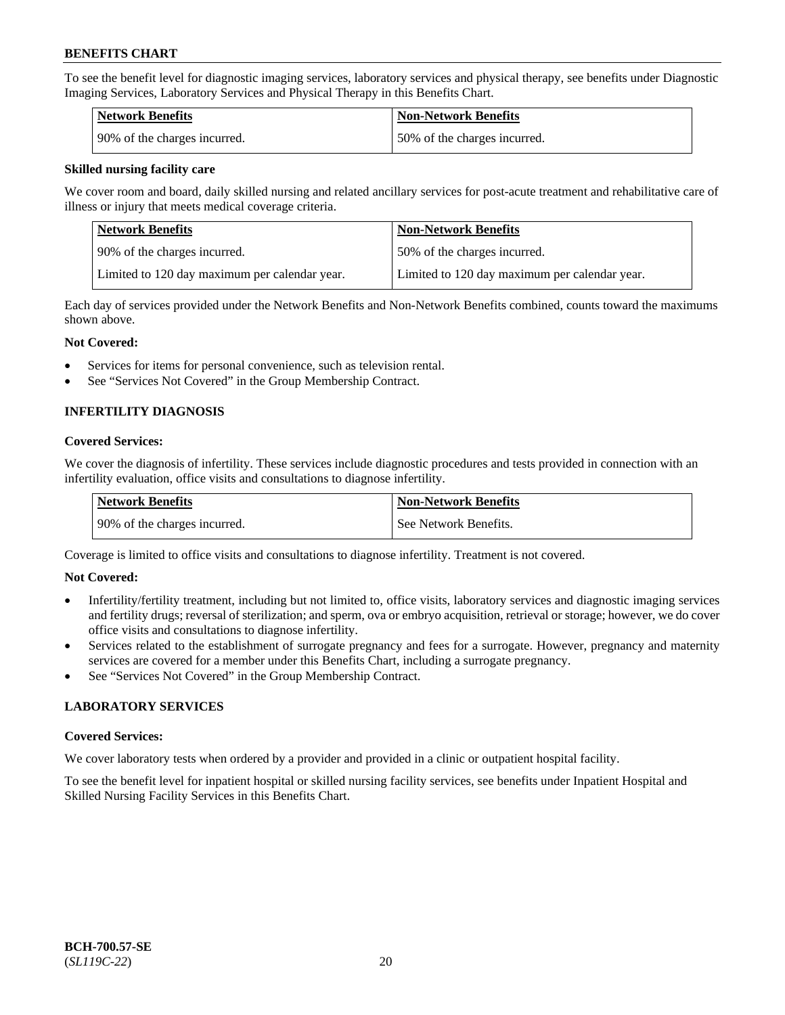To see the benefit level for diagnostic imaging services, laboratory services and physical therapy, see benefits under Diagnostic Imaging Services, Laboratory Services and Physical Therapy in this Benefits Chart.

| Network Benefits             | <b>Non-Network Benefits</b>  |
|------------------------------|------------------------------|
| 90% of the charges incurred. | 50% of the charges incurred. |

### **Skilled nursing facility care**

We cover room and board, daily skilled nursing and related ancillary services for post-acute treatment and rehabilitative care of illness or injury that meets medical coverage criteria.

| Network Benefits                              | <b>Non-Network Benefits</b>                   |
|-----------------------------------------------|-----------------------------------------------|
| 1 90% of the charges incurred.                | 50% of the charges incurred.                  |
| Limited to 120 day maximum per calendar year. | Limited to 120 day maximum per calendar year. |

Each day of services provided under the Network Benefits and Non-Network Benefits combined, counts toward the maximums shown above.

### **Not Covered:**

- Services for items for personal convenience, such as television rental.
- See "Services Not Covered" in the Group Membership Contract.

# **INFERTILITY DIAGNOSIS**

### **Covered Services:**

We cover the diagnosis of infertility. These services include diagnostic procedures and tests provided in connection with an infertility evaluation, office visits and consultations to diagnose infertility.

| Network Benefits             | <b>Non-Network Benefits</b> |
|------------------------------|-----------------------------|
| 90% of the charges incurred. | See Network Benefits.       |

Coverage is limited to office visits and consultations to diagnose infertility. Treatment is not covered.

# **Not Covered:**

- Infertility/fertility treatment, including but not limited to, office visits, laboratory services and diagnostic imaging services and fertility drugs; reversal of sterilization; and sperm, ova or embryo acquisition, retrieval or storage; however, we do cover office visits and consultations to diagnose infertility.
- Services related to the establishment of surrogate pregnancy and fees for a surrogate. However, pregnancy and maternity services are covered for a member under this Benefits Chart, including a surrogate pregnancy.
- See "Services Not Covered" in the Group Membership Contract.

# **LABORATORY SERVICES**

#### **Covered Services:**

We cover laboratory tests when ordered by a provider and provided in a clinic or outpatient hospital facility.

To see the benefit level for inpatient hospital or skilled nursing facility services, see benefits under Inpatient Hospital and Skilled Nursing Facility Services in this Benefits Chart.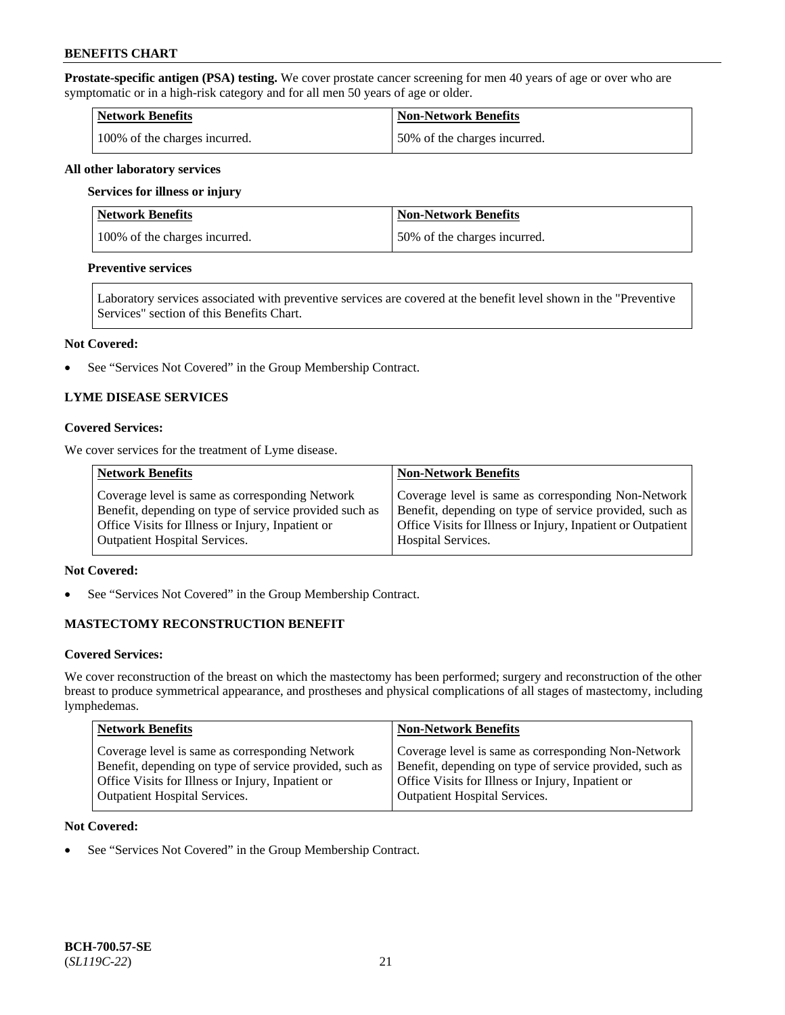**Prostate-specific antigen (PSA) testing.** We cover prostate cancer screening for men 40 years of age or over who are symptomatic or in a high-risk category and for all men 50 years of age or older.

| <b>Network Benefits</b>       | <b>Non-Network Benefits</b>  |
|-------------------------------|------------------------------|
| 100% of the charges incurred. | 50% of the charges incurred. |

#### **All other laboratory services**

#### **Services for illness or injury**

| Network Benefits              | <b>Non-Network Benefits</b>  |
|-------------------------------|------------------------------|
| 100% of the charges incurred. | 50% of the charges incurred. |

#### **Preventive services**

Laboratory services associated with preventive services are covered at the benefit level shown in the "Preventive Services" section of this Benefits Chart.

#### **Not Covered:**

• See "Services Not Covered" in the Group Membership Contract.

# **LYME DISEASE SERVICES**

### **Covered Services:**

We cover services for the treatment of Lyme disease.

| <b>Network Benefits</b>                                | <b>Non-Network Benefits</b>                                  |
|--------------------------------------------------------|--------------------------------------------------------------|
| Coverage level is same as corresponding Network        | Coverage level is same as corresponding Non-Network          |
| Benefit, depending on type of service provided such as | Benefit, depending on type of service provided, such as      |
| Office Visits for Illness or Injury, Inpatient or      | Office Visits for Illness or Injury, Inpatient or Outpatient |
| <b>Outpatient Hospital Services.</b>                   | <b>Hospital Services.</b>                                    |

# **Not Covered:**

• See "Services Not Covered" in the Group Membership Contract.

# **MASTECTOMY RECONSTRUCTION BENEFIT**

#### **Covered Services:**

We cover reconstruction of the breast on which the mastectomy has been performed; surgery and reconstruction of the other breast to produce symmetrical appearance, and prostheses and physical complications of all stages of mastectomy, including lymphedemas.

| <b>Network Benefits</b>                                 | <b>Non-Network Benefits</b>                             |
|---------------------------------------------------------|---------------------------------------------------------|
| Coverage level is same as corresponding Network         | Coverage level is same as corresponding Non-Network     |
| Benefit, depending on type of service provided, such as | Benefit, depending on type of service provided, such as |
| Office Visits for Illness or Injury, Inpatient or       | Office Visits for Illness or Injury, Inpatient or       |
| <b>Outpatient Hospital Services.</b>                    | <b>Outpatient Hospital Services.</b>                    |

#### **Not Covered:**

• See "Services Not Covered" in the Group Membership Contract.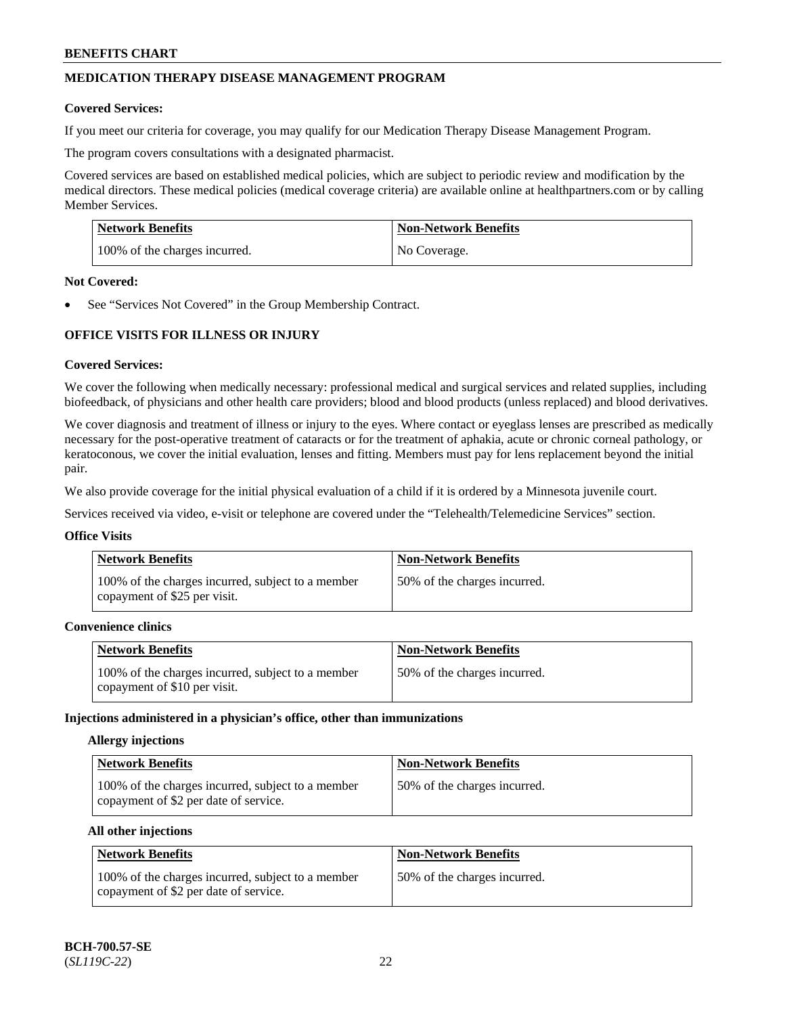# **MEDICATION THERAPY DISEASE MANAGEMENT PROGRAM**

### **Covered Services:**

If you meet our criteria for coverage, you may qualify for our Medication Therapy Disease Management Program.

The program covers consultations with a designated pharmacist.

Covered services are based on established medical policies, which are subject to periodic review and modification by the medical directors. These medical policies (medical coverage criteria) are available online at [healthpartners.com](https://www.healthpartners.com/hp/index.html) or by calling Member Services.

| Network Benefits              | <b>Non-Network Benefits</b> |
|-------------------------------|-----------------------------|
| 100% of the charges incurred. | No Coverage.                |

### **Not Covered:**

See "Services Not Covered" in the Group Membership Contract.

# **OFFICE VISITS FOR ILLNESS OR INJURY**

### **Covered Services:**

We cover the following when medically necessary: professional medical and surgical services and related supplies, including biofeedback, of physicians and other health care providers; blood and blood products (unless replaced) and blood derivatives.

We cover diagnosis and treatment of illness or injury to the eyes. Where contact or eyeglass lenses are prescribed as medically necessary for the post-operative treatment of cataracts or for the treatment of aphakia, acute or chronic corneal pathology, or keratoconous, we cover the initial evaluation, lenses and fitting. Members must pay for lens replacement beyond the initial pair.

We also provide coverage for the initial physical evaluation of a child if it is ordered by a Minnesota juvenile court.

Services received via video, e-visit or telephone are covered under the "Telehealth/Telemedicine Services" section.

# **Office Visits**

| <b>Network Benefits</b>                                                           | <b>Non-Network Benefits</b>   |
|-----------------------------------------------------------------------------------|-------------------------------|
| 100% of the charges incurred, subject to a member<br>copayment of \$25 per visit. | 150% of the charges incurred. |

# **Convenience clinics**

| <b>Network Benefits</b>                                                           | <b>Non-Network Benefits</b>  |
|-----------------------------------------------------------------------------------|------------------------------|
| 100% of the charges incurred, subject to a member<br>copayment of \$10 per visit. | 50% of the charges incurred. |

#### **Injections administered in a physician's office, other than immunizations**

#### **Allergy injections**

| Network Benefits                                                                           | <b>Non-Network Benefits</b>   |
|--------------------------------------------------------------------------------------------|-------------------------------|
| 100% of the charges incurred, subject to a member<br>copayment of \$2 per date of service. | 150% of the charges incurred. |

# **All other injections**

| Network Benefits                                                                           | <b>Non-Network Benefits</b>  |
|--------------------------------------------------------------------------------------------|------------------------------|
| 100% of the charges incurred, subject to a member<br>copayment of \$2 per date of service. | 50% of the charges incurred. |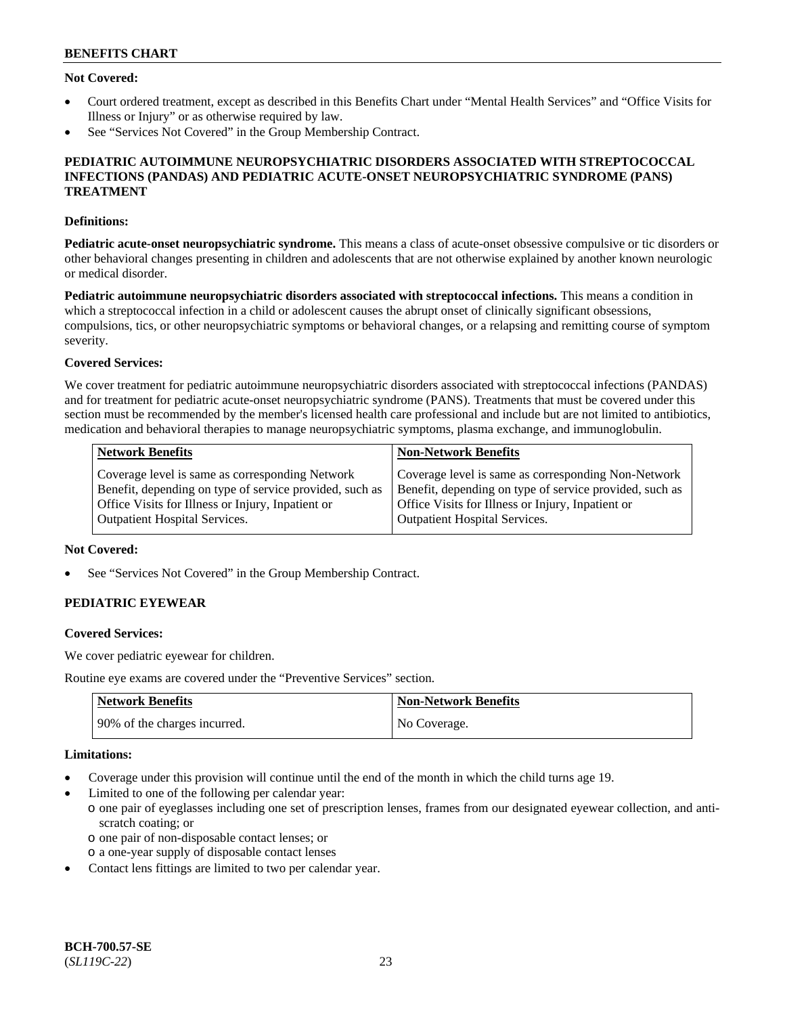# **Not Covered:**

- Court ordered treatment, except as described in this Benefits Chart under "Mental Health Services" and "Office Visits for Illness or Injury" or as otherwise required by law.
- See "Services Not Covered" in the Group Membership Contract.

### **PEDIATRIC AUTOIMMUNE NEUROPSYCHIATRIC DISORDERS ASSOCIATED WITH STREPTOCOCCAL INFECTIONS (PANDAS) AND PEDIATRIC ACUTE-ONSET NEUROPSYCHIATRIC SYNDROME (PANS) TREATMENT**

### **Definitions:**

**Pediatric acute-onset neuropsychiatric syndrome.** This means a class of acute-onset obsessive compulsive or tic disorders or other behavioral changes presenting in children and adolescents that are not otherwise explained by another known neurologic or medical disorder.

**Pediatric autoimmune neuropsychiatric disorders associated with streptococcal infections.** This means a condition in which a streptococcal infection in a child or adolescent causes the abrupt onset of clinically significant obsessions, compulsions, tics, or other neuropsychiatric symptoms or behavioral changes, or a relapsing and remitting course of symptom severity.

# **Covered Services:**

We cover treatment for pediatric autoimmune neuropsychiatric disorders associated with streptococcal infections (PANDAS) and for treatment for pediatric acute-onset neuropsychiatric syndrome (PANS). Treatments that must be covered under this section must be recommended by the member's licensed health care professional and include but are not limited to antibiotics, medication and behavioral therapies to manage neuropsychiatric symptoms, plasma exchange, and immunoglobulin.

| <b>Network Benefits</b>                                 | <b>Non-Network Benefits</b>                             |
|---------------------------------------------------------|---------------------------------------------------------|
| Coverage level is same as corresponding Network         | Coverage level is same as corresponding Non-Network     |
| Benefit, depending on type of service provided, such as | Benefit, depending on type of service provided, such as |
| Office Visits for Illness or Injury, Inpatient or       | Office Visits for Illness or Injury, Inpatient or       |
| <b>Outpatient Hospital Services.</b>                    | Outpatient Hospital Services.                           |

### **Not Covered:**

See "Services Not Covered" in the Group Membership Contract.

# **PEDIATRIC EYEWEAR**

#### **Covered Services:**

We cover pediatric eyewear for children.

Routine eye exams are covered under the "Preventive Services" section.

| <b>Network Benefits</b>      | Non-Network Benefits |
|------------------------------|----------------------|
| 90% of the charges incurred. | No Coverage.         |

#### **Limitations:**

- Coverage under this provision will continue until the end of the month in which the child turns age 19.
- Limited to one of the following per calendar year:
	- o one pair of eyeglasses including one set of prescription lenses, frames from our designated eyewear collection, and antiscratch coating; or
		- o one pair of non-disposable contact lenses; or
	- o a one-year supply of disposable contact lenses
- Contact lens fittings are limited to two per calendar year.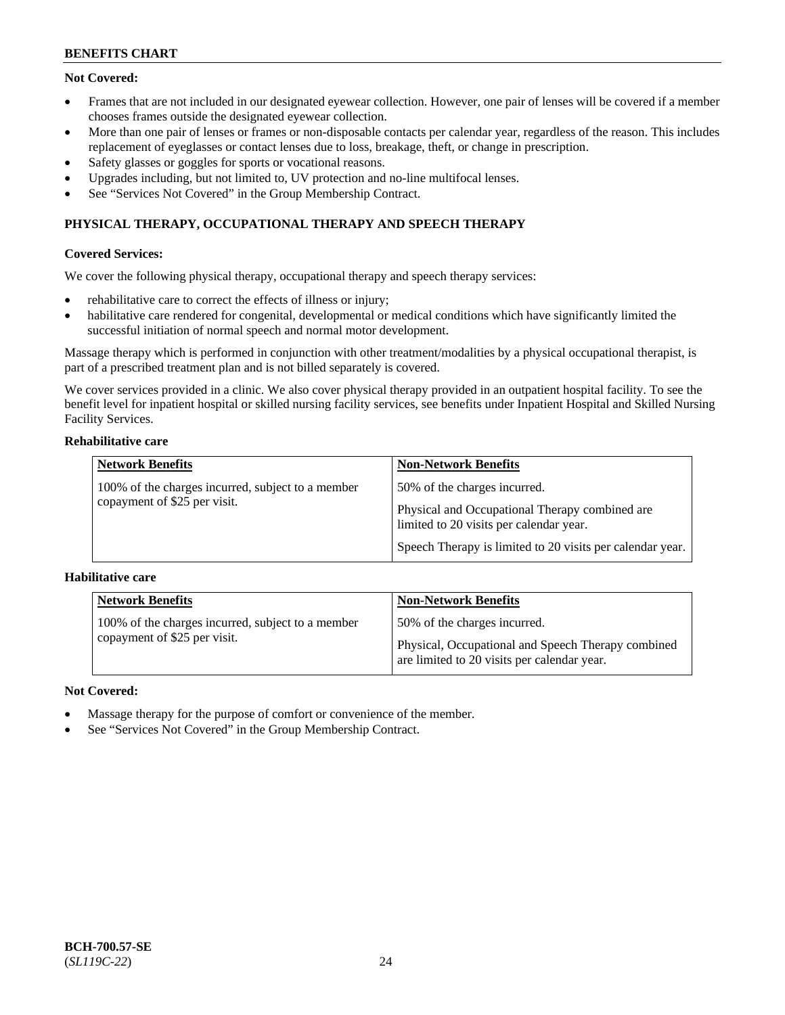# **Not Covered:**

- Frames that are not included in our designated eyewear collection. However, one pair of lenses will be covered if a member chooses frames outside the designated eyewear collection.
- More than one pair of lenses or frames or non-disposable contacts per calendar year, regardless of the reason. This includes replacement of eyeglasses or contact lenses due to loss, breakage, theft, or change in prescription.
- Safety glasses or goggles for sports or vocational reasons.
- Upgrades including, but not limited to, UV protection and no-line multifocal lenses.
- See "Services Not Covered" in the Group Membership Contract.

# **PHYSICAL THERAPY, OCCUPATIONAL THERAPY AND SPEECH THERAPY**

### **Covered Services:**

We cover the following physical therapy, occupational therapy and speech therapy services:

- rehabilitative care to correct the effects of illness or injury;
- habilitative care rendered for congenital, developmental or medical conditions which have significantly limited the successful initiation of normal speech and normal motor development.

Massage therapy which is performed in conjunction with other treatment/modalities by a physical occupational therapist, is part of a prescribed treatment plan and is not billed separately is covered.

We cover services provided in a clinic. We also cover physical therapy provided in an outpatient hospital facility. To see the benefit level for inpatient hospital or skilled nursing facility services, see benefits under Inpatient Hospital and Skilled Nursing Facility Services.

### **Rehabilitative care**

| <b>Network Benefits</b>                                                           | <b>Non-Network Benefits</b>                                                                                               |
|-----------------------------------------------------------------------------------|---------------------------------------------------------------------------------------------------------------------------|
| 100% of the charges incurred, subject to a member<br>copayment of \$25 per visit. | 50% of the charges incurred.<br>Physical and Occupational Therapy combined are<br>limited to 20 visits per calendar year. |
|                                                                                   | Speech Therapy is limited to 20 visits per calendar year.                                                                 |

#### **Habilitative care**

| <b>Network Benefits</b>                                                           | <b>Non-Network Benefits</b>                                                                                                       |
|-----------------------------------------------------------------------------------|-----------------------------------------------------------------------------------------------------------------------------------|
| 100% of the charges incurred, subject to a member<br>copayment of \$25 per visit. | 50% of the charges incurred.<br>Physical, Occupational and Speech Therapy combined<br>are limited to 20 visits per calendar year. |

# **Not Covered:**

- Massage therapy for the purpose of comfort or convenience of the member.
- See "Services Not Covered" in the Group Membership Contract.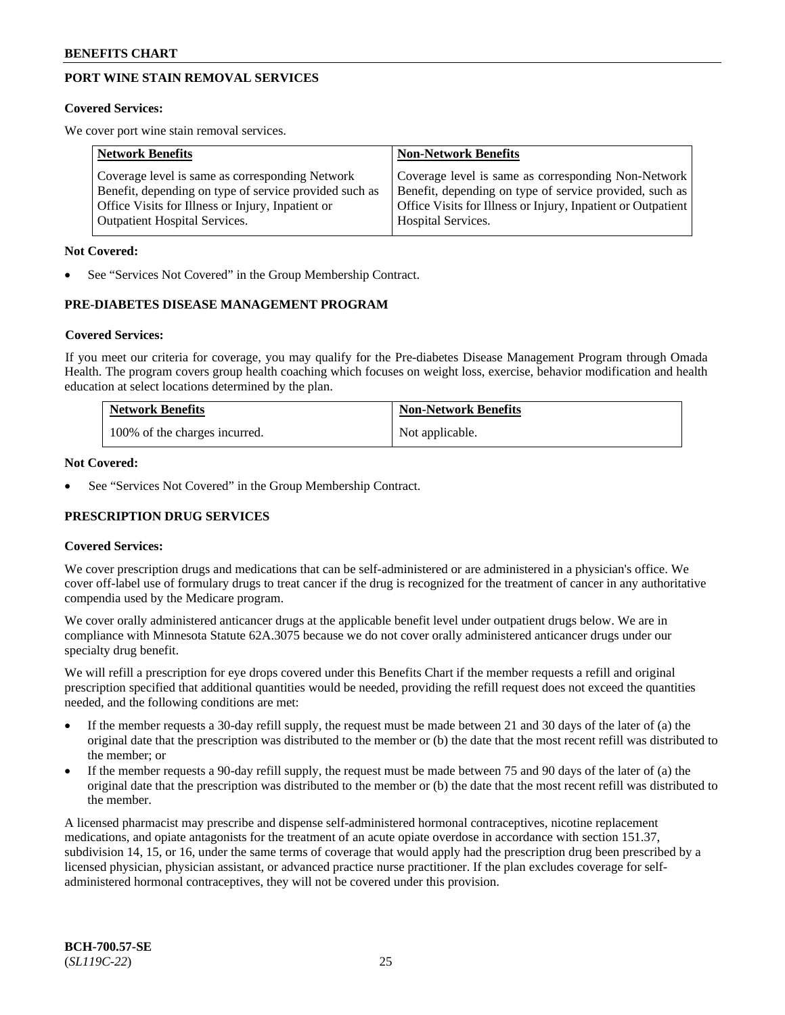# **PORT WINE STAIN REMOVAL SERVICES**

### **Covered Services:**

We cover port wine stain removal services.

| <b>Network Benefits</b>                                | <b>Non-Network Benefits</b>                                  |
|--------------------------------------------------------|--------------------------------------------------------------|
| Coverage level is same as corresponding Network        | Coverage level is same as corresponding Non-Network          |
| Benefit, depending on type of service provided such as | Benefit, depending on type of service provided, such as      |
| Office Visits for Illness or Injury, Inpatient or      | Office Visits for Illness or Injury, Inpatient or Outpatient |
| <b>Outpatient Hospital Services.</b>                   | Hospital Services.                                           |

### **Not Covered:**

See "Services Not Covered" in the Group Membership Contract.

# **PRE-DIABETES DISEASE MANAGEMENT PROGRAM**

### **Covered Services:**

If you meet our criteria for coverage, you may qualify for the Pre-diabetes Disease Management Program through Omada Health. The program covers group health coaching which focuses on weight loss, exercise, behavior modification and health education at select locations determined by the plan.

| <b>Network Benefits</b>       | <b>Non-Network Benefits</b> |
|-------------------------------|-----------------------------|
| 100% of the charges incurred. | Not applicable.             |

### **Not Covered:**

See "Services Not Covered" in the Group Membership Contract.

# **PRESCRIPTION DRUG SERVICES**

# **Covered Services:**

We cover prescription drugs and medications that can be self-administered or are administered in a physician's office. We cover off-label use of formulary drugs to treat cancer if the drug is recognized for the treatment of cancer in any authoritative compendia used by the Medicare program.

We cover orally administered anticancer drugs at the applicable benefit level under outpatient drugs below. We are in compliance with Minnesota Statute 62A.3075 because we do not cover orally administered anticancer drugs under our specialty drug benefit.

We will refill a prescription for eye drops covered under this Benefits Chart if the member requests a refill and original prescription specified that additional quantities would be needed, providing the refill request does not exceed the quantities needed, and the following conditions are met:

- If the member requests a 30-day refill supply, the request must be made between 21 and 30 days of the later of (a) the original date that the prescription was distributed to the member or (b) the date that the most recent refill was distributed to the member; or
- If the member requests a 90-day refill supply, the request must be made between 75 and 90 days of the later of (a) the original date that the prescription was distributed to the member or (b) the date that the most recent refill was distributed to the member.

A licensed pharmacist may prescribe and dispense self-administered hormonal contraceptives, nicotine replacement medications, and opiate antagonists for the treatment of an acute opiate overdose in accordance with section 151.37, subdivision 14, 15, or 16, under the same terms of coverage that would apply had the prescription drug been prescribed by a licensed physician, physician assistant, or advanced practice nurse practitioner. If the plan excludes coverage for selfadministered hormonal contraceptives, they will not be covered under this provision.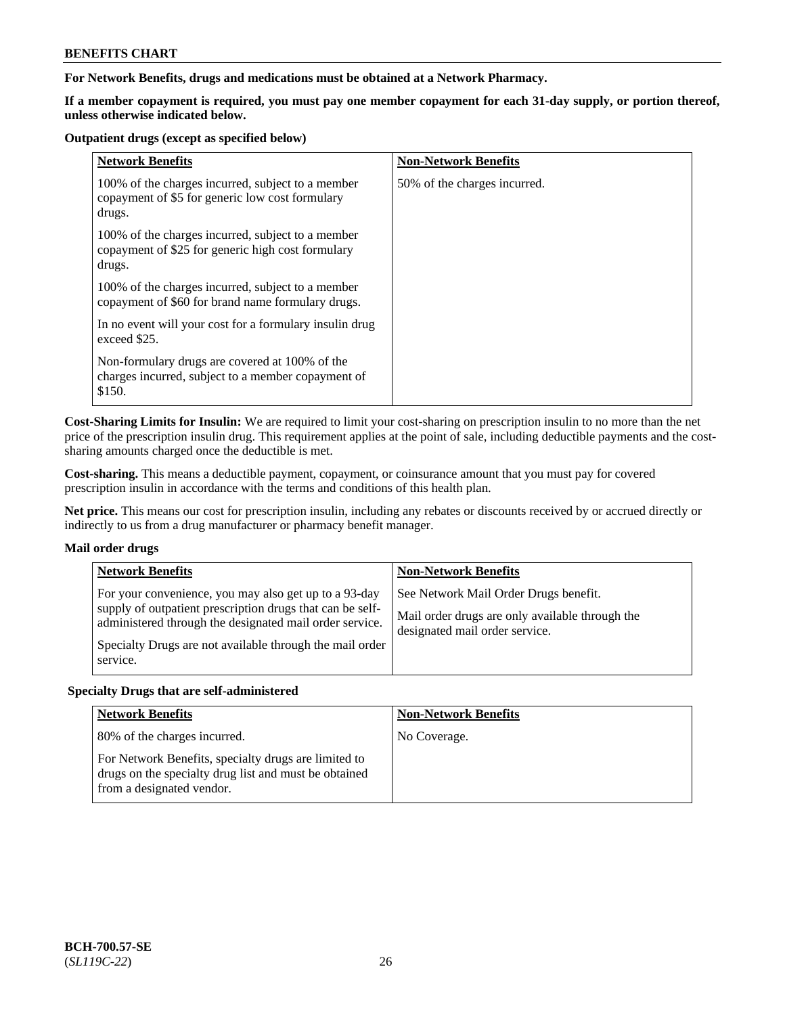# **For Network Benefits, drugs and medications must be obtained at a Network Pharmacy.**

**If a member copayment is required, you must pay one member copayment for each 31-day supply, or portion thereof, unless otherwise indicated below.**

#### **Outpatient drugs (except as specified below)**

| <b>Network Benefits</b>                                                                                          | <b>Non-Network Benefits</b>  |
|------------------------------------------------------------------------------------------------------------------|------------------------------|
| 100% of the charges incurred, subject to a member<br>copayment of \$5 for generic low cost formulary<br>drugs.   | 50% of the charges incurred. |
| 100% of the charges incurred, subject to a member<br>copayment of \$25 for generic high cost formulary<br>drugs. |                              |
| 100% of the charges incurred, subject to a member<br>copayment of \$60 for brand name formulary drugs.           |                              |
| In no event will your cost for a formulary insulin drug<br>exceed \$25.                                          |                              |
| Non-formulary drugs are covered at 100% of the<br>charges incurred, subject to a member copayment of<br>\$150.   |                              |

**Cost-Sharing Limits for Insulin:** We are required to limit your cost-sharing on prescription insulin to no more than the net price of the prescription insulin drug. This requirement applies at the point of sale, including deductible payments and the costsharing amounts charged once the deductible is met.

**Cost-sharing.** This means a deductible payment, copayment, or coinsurance amount that you must pay for covered prescription insulin in accordance with the terms and conditions of this health plan.

**Net price.** This means our cost for prescription insulin, including any rebates or discounts received by or accrued directly or indirectly to us from a drug manufacturer or pharmacy benefit manager.

#### **Mail order drugs**

| <b>Network Benefits</b>                                                                                                                                                                                                                   | <b>Non-Network Benefits</b>                                                                                                |
|-------------------------------------------------------------------------------------------------------------------------------------------------------------------------------------------------------------------------------------------|----------------------------------------------------------------------------------------------------------------------------|
| For your convenience, you may also get up to a 93-day<br>supply of outpatient prescription drugs that can be self-<br>administered through the designated mail order service.<br>Specialty Drugs are not available through the mail order | See Network Mail Order Drugs benefit.<br>Mail order drugs are only available through the<br>designated mail order service. |
| service.                                                                                                                                                                                                                                  |                                                                                                                            |

#### **Specialty Drugs that are self-administered**

| <b>Network Benefits</b>                                                                                                                    | <b>Non-Network Benefits</b> |
|--------------------------------------------------------------------------------------------------------------------------------------------|-----------------------------|
| 80% of the charges incurred.                                                                                                               | No Coverage.                |
| For Network Benefits, specialty drugs are limited to<br>drugs on the specialty drug list and must be obtained<br>from a designated vendor. |                             |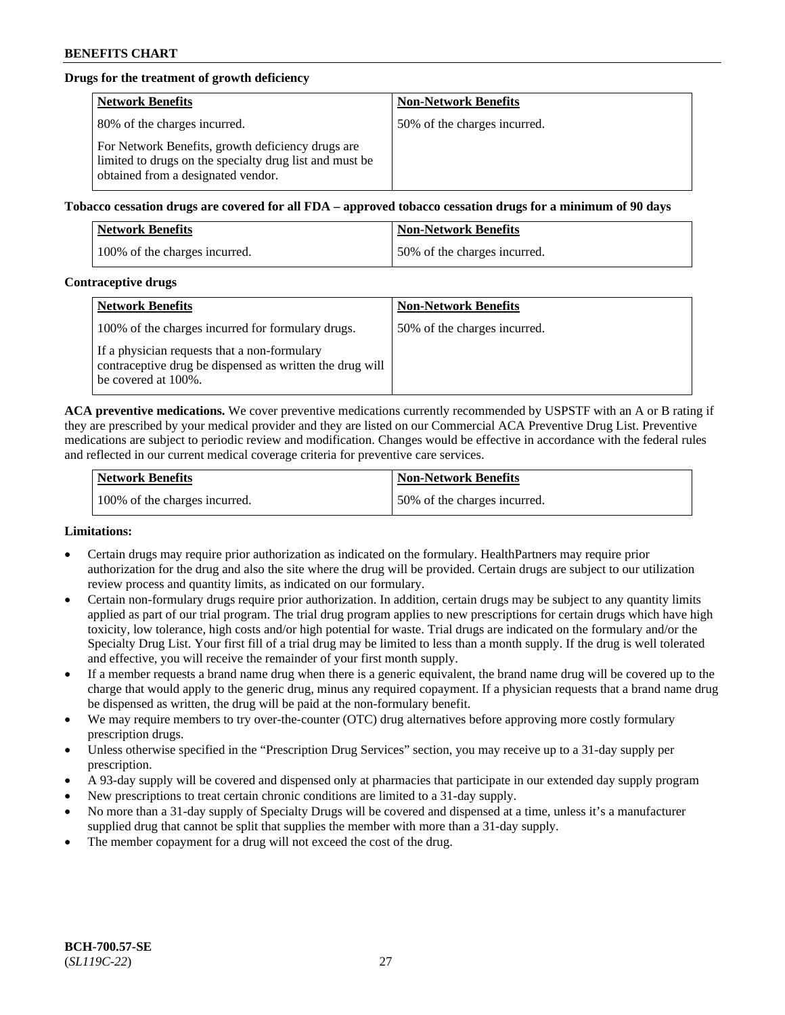# **Drugs for the treatment of growth deficiency**

| <b>Network Benefits</b>                                                                                                                            | <b>Non-Network Benefits</b>  |
|----------------------------------------------------------------------------------------------------------------------------------------------------|------------------------------|
| 80% of the charges incurred.                                                                                                                       | 50% of the charges incurred. |
| For Network Benefits, growth deficiency drugs are<br>limited to drugs on the specialty drug list and must be<br>obtained from a designated vendor. |                              |

### **Tobacco cessation drugs are covered for all FDA – approved tobacco cessation drugs for a minimum of 90 days**

| <b>Network Benefits</b>       | <b>Non-Network Benefits</b>  |
|-------------------------------|------------------------------|
| 100% of the charges incurred. | 50% of the charges incurred. |

### **Contraceptive drugs**

| <b>Network Benefits</b>                                                                                                         | <b>Non-Network Benefits</b>  |
|---------------------------------------------------------------------------------------------------------------------------------|------------------------------|
| 100% of the charges incurred for formulary drugs.                                                                               | 50% of the charges incurred. |
| If a physician requests that a non-formulary<br>contraceptive drug be dispensed as written the drug will<br>be covered at 100%. |                              |

**ACA preventive medications.** We cover preventive medications currently recommended by USPSTF with an A or B rating if they are prescribed by your medical provider and they are listed on our Commercial ACA Preventive Drug List. Preventive medications are subject to periodic review and modification. Changes would be effective in accordance with the federal rules and reflected in our current medical coverage criteria for preventive care services.

| Network Benefits              | <b>Non-Network Benefits</b>  |
|-------------------------------|------------------------------|
| 100% of the charges incurred. | 50% of the charges incurred. |

#### **Limitations:**

- Certain drugs may require prior authorization as indicated on the formulary. HealthPartners may require prior authorization for the drug and also the site where the drug will be provided. Certain drugs are subject to our utilization review process and quantity limits, as indicated on our formulary.
- Certain non-formulary drugs require prior authorization. In addition, certain drugs may be subject to any quantity limits applied as part of our trial program. The trial drug program applies to new prescriptions for certain drugs which have high toxicity, low tolerance, high costs and/or high potential for waste. Trial drugs are indicated on the formulary and/or the Specialty Drug List. Your first fill of a trial drug may be limited to less than a month supply. If the drug is well tolerated and effective, you will receive the remainder of your first month supply.
- If a member requests a brand name drug when there is a generic equivalent, the brand name drug will be covered up to the charge that would apply to the generic drug, minus any required copayment. If a physician requests that a brand name drug be dispensed as written, the drug will be paid at the non-formulary benefit.
- We may require members to try over-the-counter (OTC) drug alternatives before approving more costly formulary prescription drugs.
- Unless otherwise specified in the "Prescription Drug Services" section, you may receive up to a 31-day supply per prescription.
- A 93-day supply will be covered and dispensed only at pharmacies that participate in our extended day supply program
- New prescriptions to treat certain chronic conditions are limited to a 31-day supply.
- No more than a 31-day supply of Specialty Drugs will be covered and dispensed at a time, unless it's a manufacturer supplied drug that cannot be split that supplies the member with more than a 31-day supply.
- The member copayment for a drug will not exceed the cost of the drug.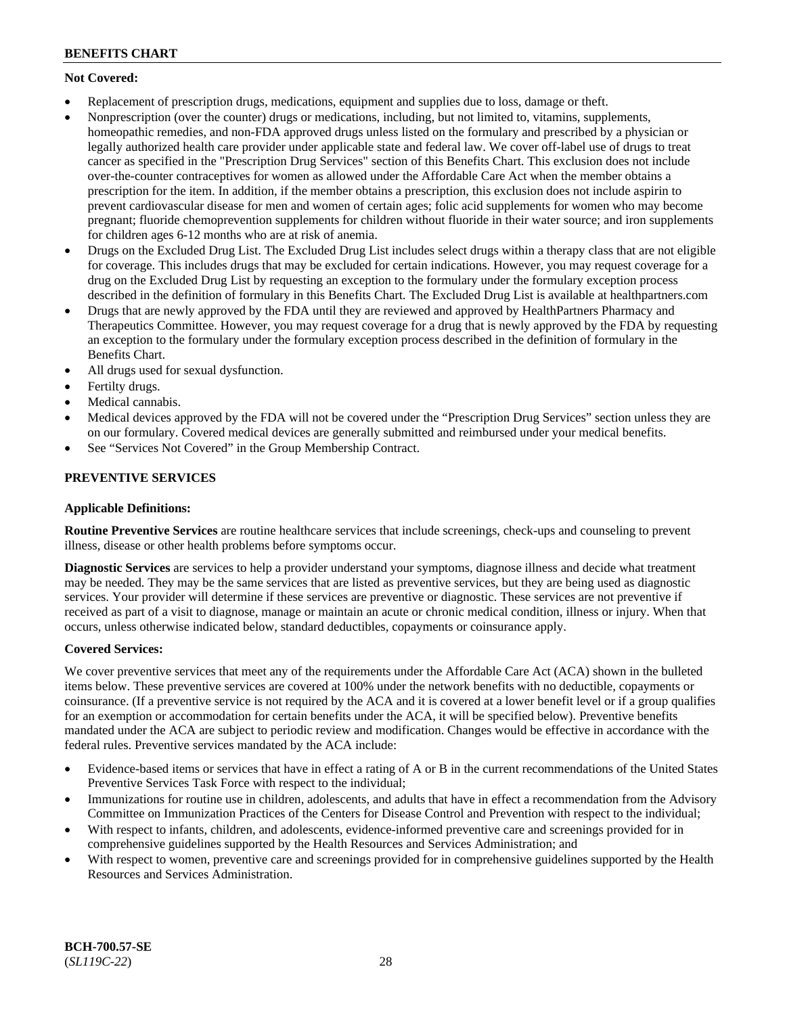# **Not Covered:**

- Replacement of prescription drugs, medications, equipment and supplies due to loss, damage or theft.
- Nonprescription (over the counter) drugs or medications, including, but not limited to, vitamins, supplements, homeopathic remedies, and non-FDA approved drugs unless listed on the formulary and prescribed by a physician or legally authorized health care provider under applicable state and federal law. We cover off-label use of drugs to treat cancer as specified in the "Prescription Drug Services" section of this Benefits Chart. This exclusion does not include over-the-counter contraceptives for women as allowed under the Affordable Care Act when the member obtains a prescription for the item. In addition, if the member obtains a prescription, this exclusion does not include aspirin to prevent cardiovascular disease for men and women of certain ages; folic acid supplements for women who may become pregnant; fluoride chemoprevention supplements for children without fluoride in their water source; and iron supplements for children ages 6-12 months who are at risk of anemia.
- Drugs on the Excluded Drug List. The Excluded Drug List includes select drugs within a therapy class that are not eligible for coverage. This includes drugs that may be excluded for certain indications. However, you may request coverage for a drug on the Excluded Drug List by requesting an exception to the formulary under the formulary exception process described in the definition of formulary in this Benefits Chart. The Excluded Drug List is available at [healthpartners.com](http://www.healthpartners.com/)
- Drugs that are newly approved by the FDA until they are reviewed and approved by HealthPartners Pharmacy and Therapeutics Committee. However, you may request coverage for a drug that is newly approved by the FDA by requesting an exception to the formulary under the formulary exception process described in the definition of formulary in the Benefits Chart.
- All drugs used for sexual dysfunction.
- Fertilty drugs.
- Medical cannabis.
- Medical devices approved by the FDA will not be covered under the "Prescription Drug Services" section unless they are on our formulary. Covered medical devices are generally submitted and reimbursed under your medical benefits.
- See "Services Not Covered" in the Group Membership Contract.

# **PREVENTIVE SERVICES**

# **Applicable Definitions:**

**Routine Preventive Services** are routine healthcare services that include screenings, check-ups and counseling to prevent illness, disease or other health problems before symptoms occur.

**Diagnostic Services** are services to help a provider understand your symptoms, diagnose illness and decide what treatment may be needed. They may be the same services that are listed as preventive services, but they are being used as diagnostic services. Your provider will determine if these services are preventive or diagnostic. These services are not preventive if received as part of a visit to diagnose, manage or maintain an acute or chronic medical condition, illness or injury. When that occurs, unless otherwise indicated below, standard deductibles, copayments or coinsurance apply.

# **Covered Services:**

We cover preventive services that meet any of the requirements under the Affordable Care Act (ACA) shown in the bulleted items below. These preventive services are covered at 100% under the network benefits with no deductible, copayments or coinsurance. (If a preventive service is not required by the ACA and it is covered at a lower benefit level or if a group qualifies for an exemption or accommodation for certain benefits under the ACA, it will be specified below). Preventive benefits mandated under the ACA are subject to periodic review and modification. Changes would be effective in accordance with the federal rules. Preventive services mandated by the ACA include:

- Evidence-based items or services that have in effect a rating of A or B in the current recommendations of the United States Preventive Services Task Force with respect to the individual;
- Immunizations for routine use in children, adolescents, and adults that have in effect a recommendation from the Advisory Committee on Immunization Practices of the Centers for Disease Control and Prevention with respect to the individual;
- With respect to infants, children, and adolescents, evidence-informed preventive care and screenings provided for in comprehensive guidelines supported by the Health Resources and Services Administration; and
- With respect to women, preventive care and screenings provided for in comprehensive guidelines supported by the Health Resources and Services Administration.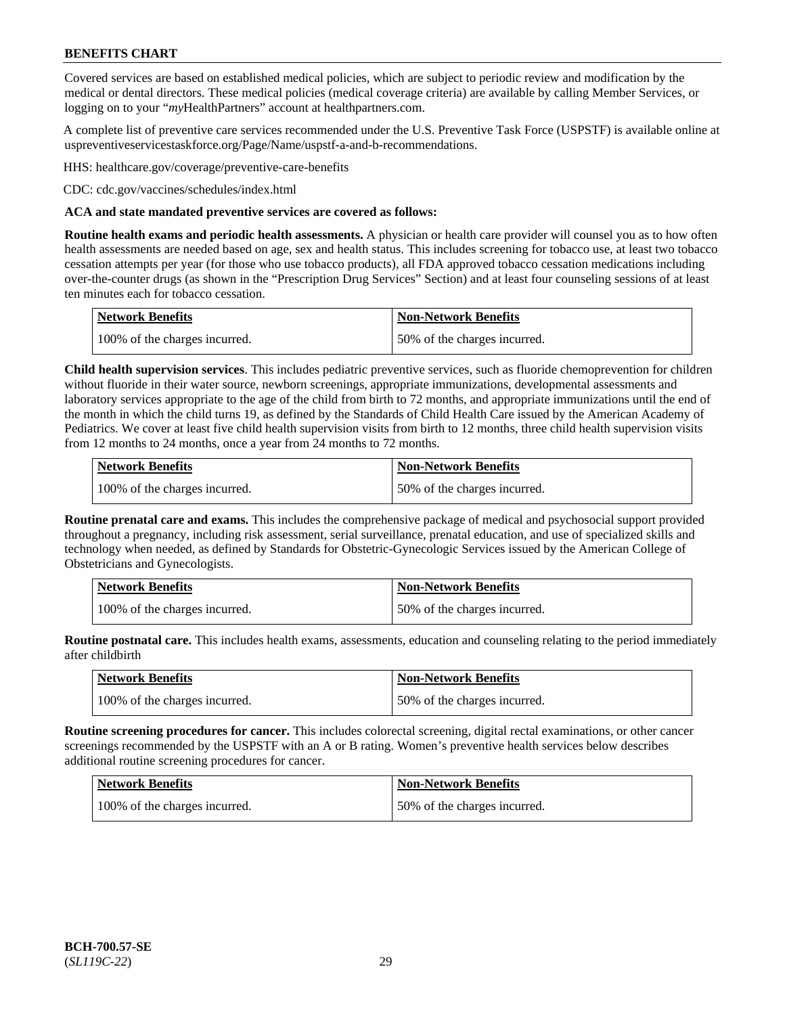Covered services are based on established medical policies, which are subject to periodic review and modification by the medical or dental directors. These medical policies (medical coverage criteria) are available by calling Member Services, or logging on to your "*my*HealthPartners" account at [healthpartners.com.](http://www.healthpartners.com/)

A complete list of preventive care services recommended under the U.S. Preventive Task Force (USPSTF) is available online at [uspreventiveservicestaskforce.org/Page/Name/uspstf-a-and-b-recommendations.](https://www.uspreventiveservicestaskforce.org/Page/Name/uspstf-a-and-b-recommendations-by-date/)

HHS: [healthcare.gov/coverage/preventive-care-benefits](https://www.healthcare.gov/coverage/preventive-care-benefits/)

CDC: [cdc.gov/vaccines/schedules/index.html](https://www.cdc.gov/vaccines/schedules/index.html)

### **ACA and state mandated preventive services are covered as follows:**

**Routine health exams and periodic health assessments.** A physician or health care provider will counsel you as to how often health assessments are needed based on age, sex and health status. This includes screening for tobacco use, at least two tobacco cessation attempts per year (for those who use tobacco products), all FDA approved tobacco cessation medications including over-the-counter drugs (as shown in the "Prescription Drug Services" Section) and at least four counseling sessions of at least ten minutes each for tobacco cessation.

| Network Benefits              | <b>Non-Network Benefits</b>  |
|-------------------------------|------------------------------|
| 100% of the charges incurred. | 50% of the charges incurred. |

**Child health supervision services**. This includes pediatric preventive services, such as fluoride chemoprevention for children without fluoride in their water source, newborn screenings, appropriate immunizations, developmental assessments and laboratory services appropriate to the age of the child from birth to 72 months, and appropriate immunizations until the end of the month in which the child turns 19, as defined by the Standards of Child Health Care issued by the American Academy of Pediatrics. We cover at least five child health supervision visits from birth to 12 months, three child health supervision visits from 12 months to 24 months, once a year from 24 months to 72 months.

| Network Benefits              | <b>Non-Network Benefits</b>  |
|-------------------------------|------------------------------|
| 100% of the charges incurred. | 50% of the charges incurred. |

**Routine prenatal care and exams.** This includes the comprehensive package of medical and psychosocial support provided throughout a pregnancy, including risk assessment, serial surveillance, prenatal education, and use of specialized skills and technology when needed, as defined by Standards for Obstetric-Gynecologic Services issued by the American College of Obstetricians and Gynecologists.

| Network Benefits              | <b>Non-Network Benefits</b>  |
|-------------------------------|------------------------------|
| 100% of the charges incurred. | 50% of the charges incurred. |

**Routine postnatal care.** This includes health exams, assessments, education and counseling relating to the period immediately after childbirth

| <b>Network Benefits</b>       | <b>Non-Network Benefits</b>  |
|-------------------------------|------------------------------|
| 100% of the charges incurred. | 50% of the charges incurred. |

**Routine screening procedures for cancer.** This includes colorectal screening, digital rectal examinations, or other cancer screenings recommended by the USPSTF with an A or B rating. Women's preventive health services below describes additional routine screening procedures for cancer.

| <b>Network Benefits</b>       | <b>Non-Network Benefits</b>  |
|-------------------------------|------------------------------|
| 100% of the charges incurred. | 50% of the charges incurred. |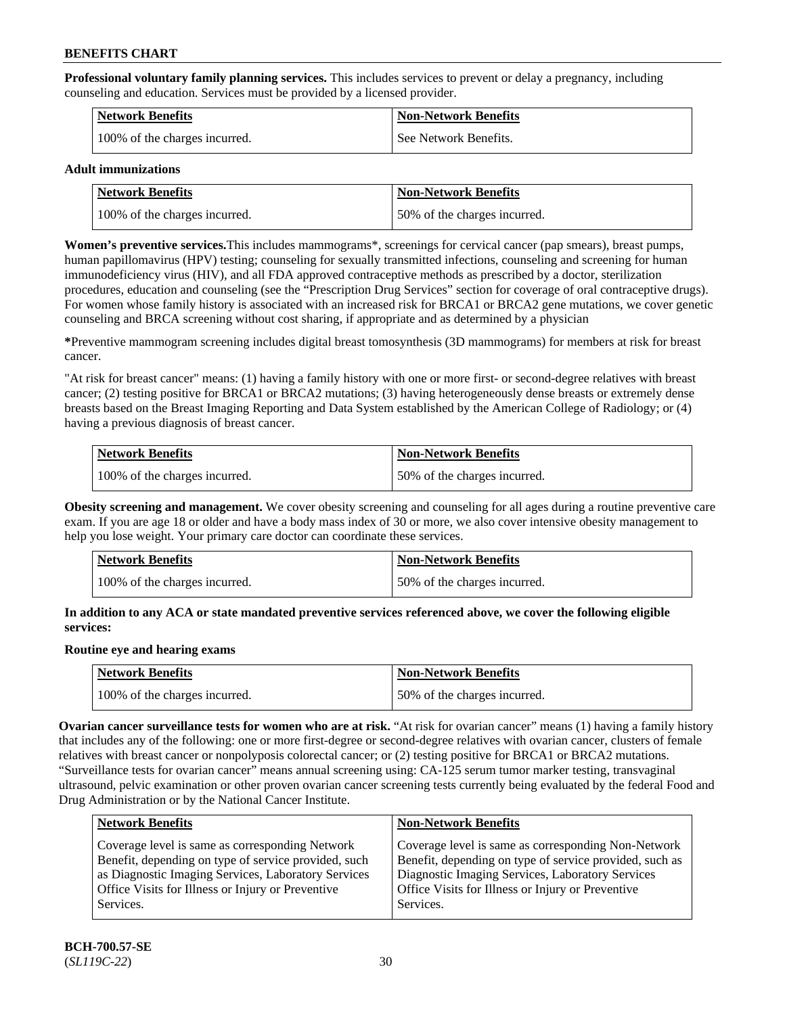**Professional voluntary family planning services.** This includes services to prevent or delay a pregnancy, including counseling and education. Services must be provided by a licensed provider.

| <b>Network Benefits</b>       | <b>Non-Network Benefits</b> |
|-------------------------------|-----------------------------|
| 100% of the charges incurred. | See Network Benefits.       |

#### **Adult immunizations**

| Network Benefits              | Non-Network Benefits         |
|-------------------------------|------------------------------|
| 100% of the charges incurred. | 50% of the charges incurred. |

**Women's preventive services.**This includes mammograms\*, screenings for cervical cancer (pap smears), breast pumps, human papillomavirus (HPV) testing; counseling for sexually transmitted infections, counseling and screening for human immunodeficiency virus (HIV), and all FDA approved contraceptive methods as prescribed by a doctor, sterilization procedures, education and counseling (see the "Prescription Drug Services" section for coverage of oral contraceptive drugs). For women whose family history is associated with an increased risk for BRCA1 or BRCA2 gene mutations, we cover genetic counseling and BRCA screening without cost sharing, if appropriate and as determined by a physician

**\***Preventive mammogram screening includes digital breast tomosynthesis (3D mammograms) for members at risk for breast cancer.

"At risk for breast cancer" means: (1) having a family history with one or more first- or second-degree relatives with breast cancer; (2) testing positive for BRCA1 or BRCA2 mutations; (3) having heterogeneously dense breasts or extremely dense breasts based on the Breast Imaging Reporting and Data System established by the American College of Radiology; or (4) having a previous diagnosis of breast cancer.

| Network Benefits              | <b>Non-Network Benefits</b>  |
|-------------------------------|------------------------------|
| 100% of the charges incurred. | 50% of the charges incurred. |

**Obesity screening and management.** We cover obesity screening and counseling for all ages during a routine preventive care exam. If you are age 18 or older and have a body mass index of 30 or more, we also cover intensive obesity management to help you lose weight. Your primary care doctor can coordinate these services.

| Network Benefits              | <b>Non-Network Benefits</b>  |
|-------------------------------|------------------------------|
| 100% of the charges incurred. | 50% of the charges incurred. |

### **In addition to any ACA or state mandated preventive services referenced above, we cover the following eligible services:**

# **Routine eye and hearing exams**

| <b>Network Benefits</b>       | <b>Non-Network Benefits</b>  |
|-------------------------------|------------------------------|
| 100% of the charges incurred. | 50% of the charges incurred. |

**Ovarian cancer surveillance tests for women who are at risk.** "At risk for ovarian cancer" means (1) having a family history that includes any of the following: one or more first-degree or second-degree relatives with ovarian cancer, clusters of female relatives with breast cancer or nonpolyposis colorectal cancer; or (2) testing positive for BRCA1 or BRCA2 mutations. "Surveillance tests for ovarian cancer" means annual screening using: CA-125 serum tumor marker testing, transvaginal ultrasound, pelvic examination or other proven ovarian cancer screening tests currently being evaluated by the federal Food and Drug Administration or by the National Cancer Institute.

| <b>Network Benefits</b>                              | <b>Non-Network Benefits</b>                             |
|------------------------------------------------------|---------------------------------------------------------|
| Coverage level is same as corresponding Network      | Coverage level is same as corresponding Non-Network     |
| Benefit, depending on type of service provided, such | Benefit, depending on type of service provided, such as |
| as Diagnostic Imaging Services, Laboratory Services  | Diagnostic Imaging Services, Laboratory Services        |
| Office Visits for Illness or Injury or Preventive    | Office Visits for Illness or Injury or Preventive       |
| Services.                                            | Services.                                               |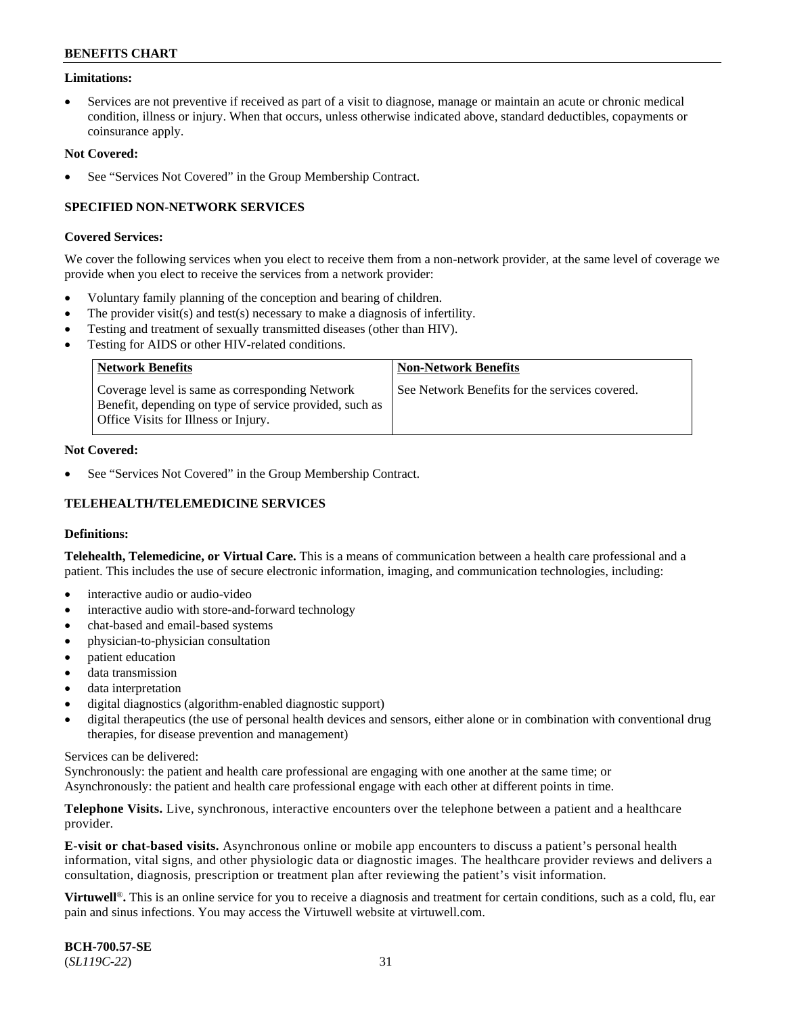# **Limitations:**

Services are not preventive if received as part of a visit to diagnose, manage or maintain an acute or chronic medical condition, illness or injury. When that occurs, unless otherwise indicated above, standard deductibles, copayments or coinsurance apply.

### **Not Covered:**

See "Services Not Covered" in the Group Membership Contract.

# **SPECIFIED NON-NETWORK SERVICES**

### **Covered Services:**

We cover the following services when you elect to receive them from a non-network provider, at the same level of coverage we provide when you elect to receive the services from a network provider:

- Voluntary family planning of the conception and bearing of children.
- The provider visit(s) and test(s) necessary to make a diagnosis of infertility.
- Testing and treatment of sexually transmitted diseases (other than HIV).
- Testing for AIDS or other HIV-related conditions.

| <b>Network Benefits</b>                                                                                                                            | <b>Non-Network Benefits</b>                    |
|----------------------------------------------------------------------------------------------------------------------------------------------------|------------------------------------------------|
| Coverage level is same as corresponding Network<br>Benefit, depending on type of service provided, such as<br>Office Visits for Illness or Injury. | See Network Benefits for the services covered. |

### **Not Covered:**

See "Services Not Covered" in the Group Membership Contract.

# **TELEHEALTH/TELEMEDICINE SERVICES**

#### **Definitions:**

**Telehealth, Telemedicine, or Virtual Care.** This is a means of communication between a health care professional and a patient. This includes the use of secure electronic information, imaging, and communication technologies, including:

- interactive audio or audio-video
- interactive audio with store-and-forward technology
- chat-based and email-based systems
- physician-to-physician consultation
- patient education
- data transmission
- data interpretation
- digital diagnostics (algorithm-enabled diagnostic support)
- digital therapeutics (the use of personal health devices and sensors, either alone or in combination with conventional drug therapies, for disease prevention and management)

#### Services can be delivered:

Synchronously: the patient and health care professional are engaging with one another at the same time; or Asynchronously: the patient and health care professional engage with each other at different points in time.

**Telephone Visits.** Live, synchronous, interactive encounters over the telephone between a patient and a healthcare provider.

**E-visit or chat-based visits.** Asynchronous online or mobile app encounters to discuss a patient's personal health information, vital signs, and other physiologic data or diagnostic images. The healthcare provider reviews and delivers a consultation, diagnosis, prescription or treatment plan after reviewing the patient's visit information.

**Virtuwell<sup>®</sup>**. This is an online service for you to receive a diagnosis and treatment for certain conditions, such as a cold, flu, ear pain and sinus infections. You may access the Virtuwell website at [virtuwell.com.](https://www.virtuwell.com/)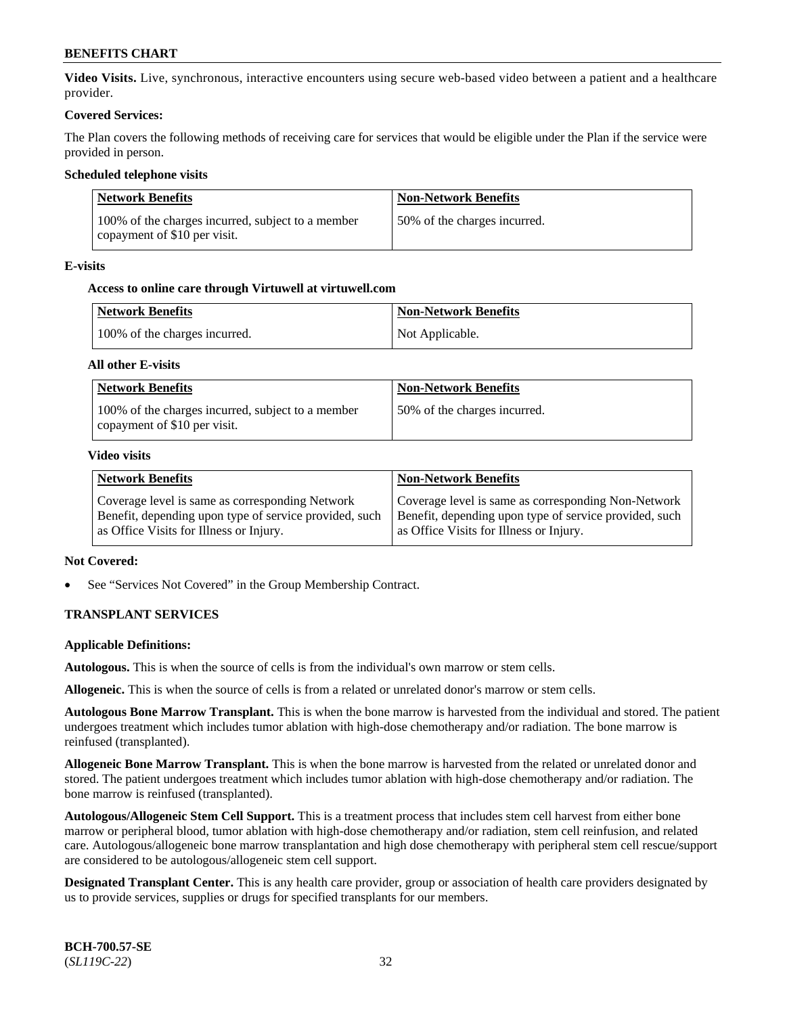**Video Visits.** Live, synchronous, interactive encounters using secure web-based video between a patient and a healthcare provider.

### **Covered Services:**

The Plan covers the following methods of receiving care for services that would be eligible under the Plan if the service were provided in person.

### **Scheduled telephone visits**

| Network Benefits                                                                  | <b>Non-Network Benefits</b>  |
|-----------------------------------------------------------------------------------|------------------------------|
| 100% of the charges incurred, subject to a member<br>copayment of \$10 per visit. | 50% of the charges incurred. |

### **E-visits**

# **Access to online care through Virtuwell at [virtuwell.com](https://www.virtuwell.com/)**

| Network Benefits              | <b>Non-Network Benefits</b> |
|-------------------------------|-----------------------------|
| 100% of the charges incurred. | Not Applicable.             |

### **All other E-visits**

| <b>Network Benefits</b>                                                           | <b>Non-Network Benefits</b>  |
|-----------------------------------------------------------------------------------|------------------------------|
| 100% of the charges incurred, subject to a member<br>copayment of \$10 per visit. | 50% of the charges incurred. |

### **Video visits**

| <b>Network Benefits</b>                                                                                                                              | <b>Non-Network Benefits</b>                                                                                                                              |
|------------------------------------------------------------------------------------------------------------------------------------------------------|----------------------------------------------------------------------------------------------------------------------------------------------------------|
| Coverage level is same as corresponding Network<br>Benefit, depending upon type of service provided, such<br>as Office Visits for Illness or Injury. | Coverage level is same as corresponding Non-Network<br>Benefit, depending upon type of service provided, such<br>as Office Visits for Illness or Injury. |

# **Not Covered:**

See "Services Not Covered" in the Group Membership Contract.

# **TRANSPLANT SERVICES**

#### **Applicable Definitions:**

**Autologous.** This is when the source of cells is from the individual's own marrow or stem cells.

**Allogeneic.** This is when the source of cells is from a related or unrelated donor's marrow or stem cells.

**Autologous Bone Marrow Transplant.** This is when the bone marrow is harvested from the individual and stored. The patient undergoes treatment which includes tumor ablation with high-dose chemotherapy and/or radiation. The bone marrow is reinfused (transplanted).

**Allogeneic Bone Marrow Transplant.** This is when the bone marrow is harvested from the related or unrelated donor and stored. The patient undergoes treatment which includes tumor ablation with high-dose chemotherapy and/or radiation. The bone marrow is reinfused (transplanted).

**Autologous/Allogeneic Stem Cell Support.** This is a treatment process that includes stem cell harvest from either bone marrow or peripheral blood, tumor ablation with high-dose chemotherapy and/or radiation, stem cell reinfusion, and related care. Autologous/allogeneic bone marrow transplantation and high dose chemotherapy with peripheral stem cell rescue/support are considered to be autologous/allogeneic stem cell support.

**Designated Transplant Center.** This is any health care provider, group or association of health care providers designated by us to provide services, supplies or drugs for specified transplants for our members.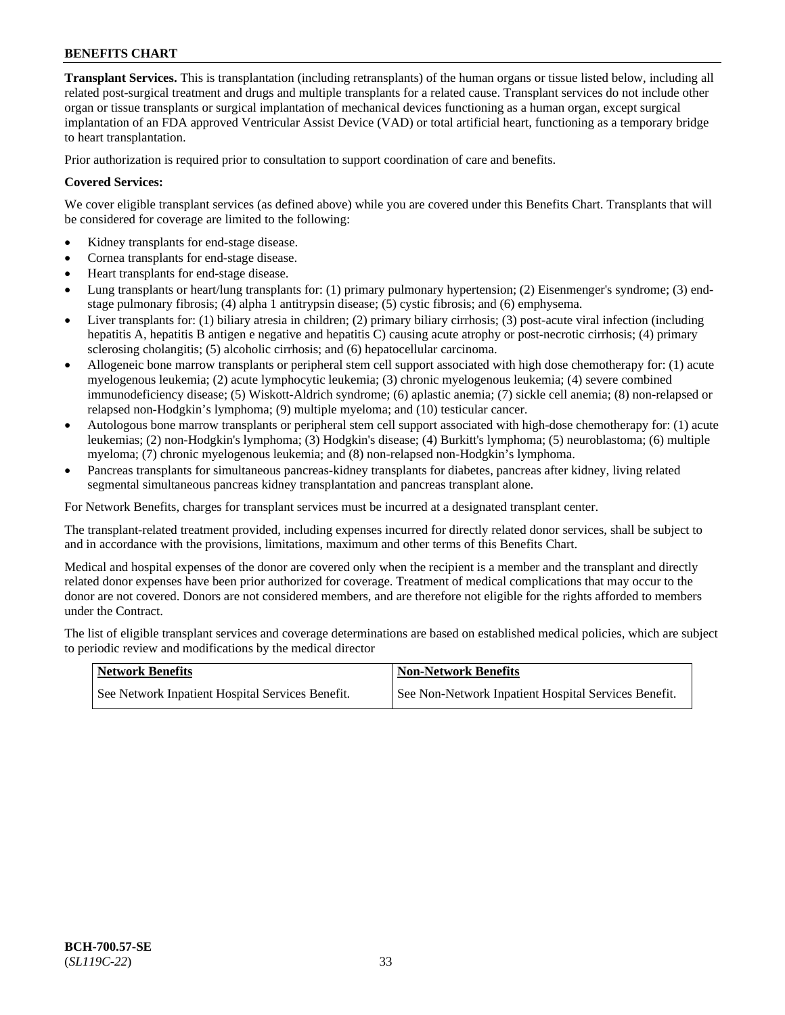**Transplant Services.** This is transplantation (including retransplants) of the human organs or tissue listed below, including all related post-surgical treatment and drugs and multiple transplants for a related cause. Transplant services do not include other organ or tissue transplants or surgical implantation of mechanical devices functioning as a human organ, except surgical implantation of an FDA approved Ventricular Assist Device (VAD) or total artificial heart, functioning as a temporary bridge to heart transplantation.

Prior authorization is required prior to consultation to support coordination of care and benefits.

### **Covered Services:**

We cover eligible transplant services (as defined above) while you are covered under this Benefits Chart. Transplants that will be considered for coverage are limited to the following:

- Kidney transplants for end-stage disease.
- Cornea transplants for end-stage disease.
- Heart transplants for end-stage disease.
- Lung transplants or heart/lung transplants for: (1) primary pulmonary hypertension; (2) Eisenmenger's syndrome; (3) endstage pulmonary fibrosis; (4) alpha 1 antitrypsin disease; (5) cystic fibrosis; and (6) emphysema.
- Liver transplants for: (1) biliary atresia in children; (2) primary biliary cirrhosis; (3) post-acute viral infection (including hepatitis A, hepatitis B antigen e negative and hepatitis C) causing acute atrophy or post-necrotic cirrhosis; (4) primary sclerosing cholangitis; (5) alcoholic cirrhosis; and (6) hepatocellular carcinoma.
- Allogeneic bone marrow transplants or peripheral stem cell support associated with high dose chemotherapy for: (1) acute myelogenous leukemia; (2) acute lymphocytic leukemia; (3) chronic myelogenous leukemia; (4) severe combined immunodeficiency disease; (5) Wiskott-Aldrich syndrome; (6) aplastic anemia; (7) sickle cell anemia; (8) non-relapsed or relapsed non-Hodgkin's lymphoma; (9) multiple myeloma; and (10) testicular cancer.
- Autologous bone marrow transplants or peripheral stem cell support associated with high-dose chemotherapy for: (1) acute leukemias; (2) non-Hodgkin's lymphoma; (3) Hodgkin's disease; (4) Burkitt's lymphoma; (5) neuroblastoma; (6) multiple myeloma; (7) chronic myelogenous leukemia; and (8) non-relapsed non-Hodgkin's lymphoma.
- Pancreas transplants for simultaneous pancreas-kidney transplants for diabetes, pancreas after kidney, living related segmental simultaneous pancreas kidney transplantation and pancreas transplant alone.

For Network Benefits, charges for transplant services must be incurred at a designated transplant center.

The transplant-related treatment provided, including expenses incurred for directly related donor services, shall be subject to and in accordance with the provisions, limitations, maximum and other terms of this Benefits Chart.

Medical and hospital expenses of the donor are covered only when the recipient is a member and the transplant and directly related donor expenses have been prior authorized for coverage. Treatment of medical complications that may occur to the donor are not covered. Donors are not considered members, and are therefore not eligible for the rights afforded to members under the Contract.

The list of eligible transplant services and coverage determinations are based on established medical policies, which are subject to periodic review and modifications by the medical director

| <b>Network Benefits</b>                          | Non-Network Benefits                                 |
|--------------------------------------------------|------------------------------------------------------|
| See Network Inpatient Hospital Services Benefit. | See Non-Network Inpatient Hospital Services Benefit. |